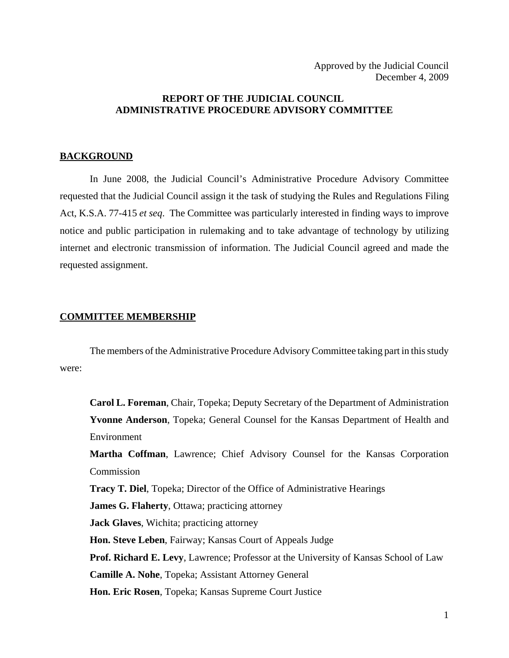# **REPORT OF THE JUDICIAL COUNCIL ADMINISTRATIVE PROCEDURE ADVISORY COMMITTEE**

## **BACKGROUND**

In June 2008, the Judicial Council's Administrative Procedure Advisory Committee requested that the Judicial Council assign it the task of studying the Rules and Regulations Filing Act, K.S.A. 77-415 *et seq*. The Committee was particularly interested in finding ways to improve notice and public participation in rulemaking and to take advantage of technology by utilizing internet and electronic transmission of information. The Judicial Council agreed and made the requested assignment.

### **COMMITTEE MEMBERSHIP**

The members of the Administrative Procedure Advisory Committee taking part in this study were:

**Carol L. Foreman**, Chair, Topeka; Deputy Secretary of the Department of Administration **Yvonne Anderson**, Topeka; General Counsel for the Kansas Department of Health and Environment

**Martha Coffman**, Lawrence; Chief Advisory Counsel for the Kansas Corporation Commission

**Tracy T. Diel**, Topeka; Director of the Office of Administrative Hearings

**James G. Flaherty**, Ottawa; practicing attorney

**Jack Glaves**, Wichita; practicing attorney

**Hon. Steve Leben**, Fairway; Kansas Court of Appeals Judge

**Prof. Richard E. Levy**, Lawrence; Professor at the University of Kansas School of Law

**Camille A. Nohe**, Topeka; Assistant Attorney General

**Hon. Eric Rosen**, Topeka; Kansas Supreme Court Justice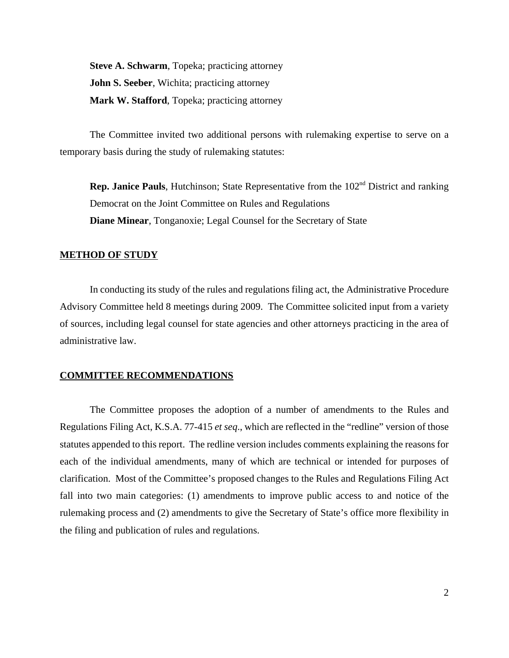**Steve A. Schwarm**, Topeka; practicing attorney **John S. Seeber**, Wichita; practicing attorney **Mark W. Stafford**, Topeka; practicing attorney

The Committee invited two additional persons with rulemaking expertise to serve on a temporary basis during the study of rulemaking statutes:

**Rep. Janice Pauls**, Hutchinson; State Representative from the 102<sup>nd</sup> District and ranking Democrat on the Joint Committee on Rules and Regulations **Diane Minear**, Tonganoxie; Legal Counsel for the Secretary of State

### **METHOD OF STUDY**

In conducting its study of the rules and regulations filing act, the Administrative Procedure Advisory Committee held 8 meetings during 2009. The Committee solicited input from a variety of sources, including legal counsel for state agencies and other attorneys practicing in the area of administrative law.

### **COMMITTEE RECOMMENDATIONS**

The Committee proposes the adoption of a number of amendments to the Rules and Regulations Filing Act, K.S.A. 77-415 *et seq*., which are reflected in the "redline" version of those statutes appended to this report. The redline version includes comments explaining the reasons for each of the individual amendments, many of which are technical or intended for purposes of clarification. Most of the Committee's proposed changes to the Rules and Regulations Filing Act fall into two main categories: (1) amendments to improve public access to and notice of the rulemaking process and (2) amendments to give the Secretary of State's office more flexibility in the filing and publication of rules and regulations.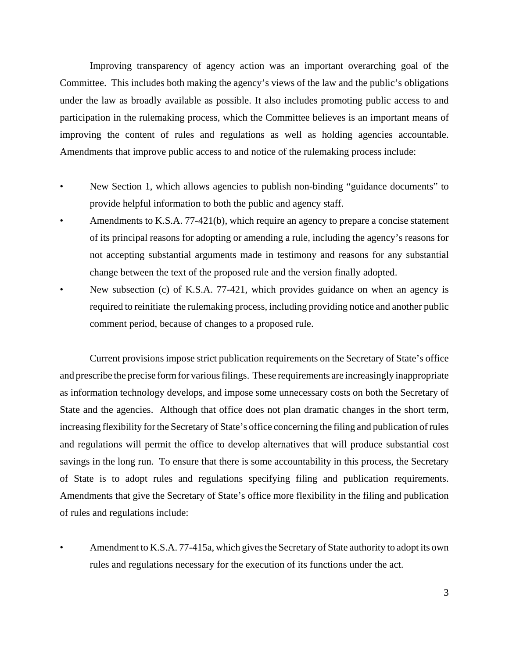Improving transparency of agency action was an important overarching goal of the Committee. This includes both making the agency's views of the law and the public's obligations under the law as broadly available as possible. It also includes promoting public access to and participation in the rulemaking process, which the Committee believes is an important means of improving the content of rules and regulations as well as holding agencies accountable. Amendments that improve public access to and notice of the rulemaking process include:

- New Section 1, which allows agencies to publish non-binding "guidance documents" to provide helpful information to both the public and agency staff.
- Amendments to K.S.A. 77-421(b), which require an agency to prepare a concise statement of its principal reasons for adopting or amending a rule, including the agency's reasons for not accepting substantial arguments made in testimony and reasons for any substantial change between the text of the proposed rule and the version finally adopted.
- New subsection (c) of K.S.A. 77-421, which provides guidance on when an agency is required to reinitiate the rulemaking process, including providing notice and another public comment period, because of changes to a proposed rule.

Current provisions impose strict publication requirements on the Secretary of State's office and prescribe the precise form for various filings. These requirements are increasingly inappropriate as information technology develops, and impose some unnecessary costs on both the Secretary of State and the agencies. Although that office does not plan dramatic changes in the short term, increasing flexibility for the Secretary of State's office concerning the filing and publication of rules and regulations will permit the office to develop alternatives that will produce substantial cost savings in the long run. To ensure that there is some accountability in this process, the Secretary of State is to adopt rules and regulations specifying filing and publication requirements. Amendments that give the Secretary of State's office more flexibility in the filing and publication of rules and regulations include:

Amendment to K.S.A. 77-415a, which gives the Secretary of State authority to adopt its own rules and regulations necessary for the execution of its functions under the act.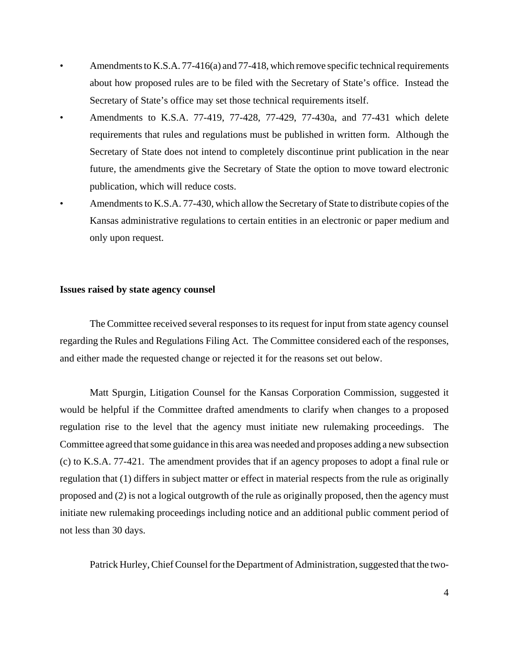- Amendments to K.S.A. 77-416(a) and 77-418, which remove specific technical requirements about how proposed rules are to be filed with the Secretary of State's office. Instead the Secretary of State's office may set those technical requirements itself.
- Amendments to K.S.A. 77-419, 77-428, 77-429, 77-430a, and 77-431 which delete requirements that rules and regulations must be published in written form. Although the Secretary of State does not intend to completely discontinue print publication in the near future, the amendments give the Secretary of State the option to move toward electronic publication, which will reduce costs.
- Amendments to K.S.A. 77-430, which allow the Secretary of State to distribute copies of the Kansas administrative regulations to certain entities in an electronic or paper medium and only upon request.

## **Issues raised by state agency counsel**

The Committee received several responses to its request for input from state agency counsel regarding the Rules and Regulations Filing Act. The Committee considered each of the responses, and either made the requested change or rejected it for the reasons set out below.

Matt Spurgin, Litigation Counsel for the Kansas Corporation Commission, suggested it would be helpful if the Committee drafted amendments to clarify when changes to a proposed regulation rise to the level that the agency must initiate new rulemaking proceedings. The Committee agreed that some guidance in this area was needed and proposes adding a new subsection (c) to K.S.A. 77-421. The amendment provides that if an agency proposes to adopt a final rule or regulation that (1) differs in subject matter or effect in material respects from the rule as originally proposed and (2) is not a logical outgrowth of the rule as originally proposed, then the agency must initiate new rulemaking proceedings including notice and an additional public comment period of not less than 30 days.

Patrick Hurley, Chief Counsel for the Department of Administration, suggested that the two-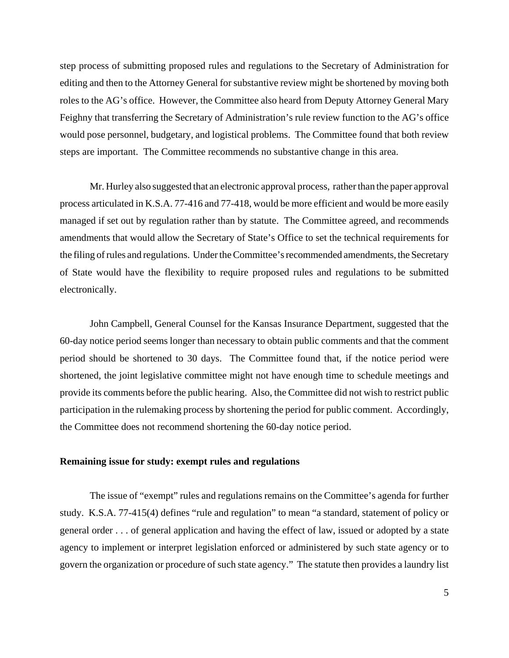step process of submitting proposed rules and regulations to the Secretary of Administration for editing and then to the Attorney General for substantive review might be shortened by moving both roles to the AG's office. However, the Committee also heard from Deputy Attorney General Mary Feighny that transferring the Secretary of Administration's rule review function to the AG's office would pose personnel, budgetary, and logistical problems. The Committee found that both review steps are important. The Committee recommends no substantive change in this area.

Mr. Hurley also suggested that an electronic approval process, rather than the paper approval process articulated in K.S.A. 77-416 and 77-418, would be more efficient and would be more easily managed if set out by regulation rather than by statute. The Committee agreed, and recommends amendments that would allow the Secretary of State's Office to set the technical requirements for the filing of rules and regulations. Under the Committee's recommended amendments, the Secretary of State would have the flexibility to require proposed rules and regulations to be submitted electronically.

John Campbell, General Counsel for the Kansas Insurance Department, suggested that the 60-day notice period seems longer than necessary to obtain public comments and that the comment period should be shortened to 30 days. The Committee found that, if the notice period were shortened, the joint legislative committee might not have enough time to schedule meetings and provide its comments before the public hearing. Also, the Committee did not wish to restrict public participation in the rulemaking process by shortening the period for public comment. Accordingly, the Committee does not recommend shortening the 60-day notice period.

# **Remaining issue for study: exempt rules and regulations**

The issue of "exempt" rules and regulations remains on the Committee's agenda for further study. K.S.A. 77-415(4) defines "rule and regulation" to mean "a standard, statement of policy or general order . . . of general application and having the effect of law, issued or adopted by a state agency to implement or interpret legislation enforced or administered by such state agency or to govern the organization or procedure of such state agency." The statute then provides a laundry list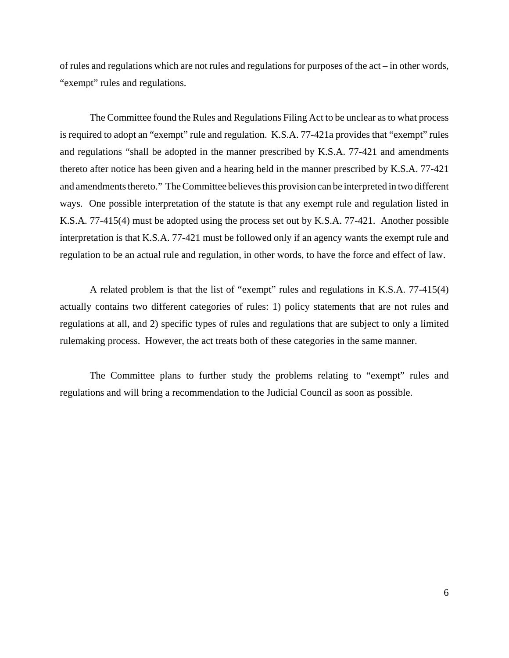of rules and regulations which are not rules and regulations for purposes of the act – in other words, "exempt" rules and regulations.

The Committee found the Rules and Regulations Filing Act to be unclear as to what process is required to adopt an "exempt" rule and regulation. K.S.A. 77-421a provides that "exempt" rules and regulations "shall be adopted in the manner prescribed by K.S.A. 77-421 and amendments thereto after notice has been given and a hearing held in the manner prescribed by K.S.A. 77-421 and amendments thereto." The Committee believes this provision can be interpreted in two different ways. One possible interpretation of the statute is that any exempt rule and regulation listed in K.S.A. 77-415(4) must be adopted using the process set out by K.S.A. 77-421. Another possible interpretation is that K.S.A. 77-421 must be followed only if an agency wants the exempt rule and regulation to be an actual rule and regulation, in other words, to have the force and effect of law.

A related problem is that the list of "exempt" rules and regulations in K.S.A. 77-415(4) actually contains two different categories of rules: 1) policy statements that are not rules and regulations at all, and 2) specific types of rules and regulations that are subject to only a limited rulemaking process. However, the act treats both of these categories in the same manner.

The Committee plans to further study the problems relating to "exempt" rules and regulations and will bring a recommendation to the Judicial Council as soon as possible.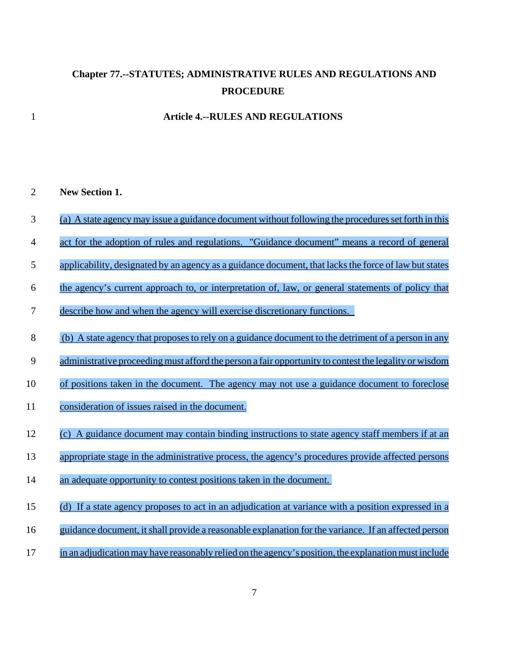# **Chapter 77.--STATUTES; ADMINISTRATIVE RULES AND REGULATIONS AND PROCEDURE**

## **Article 4.--RULES AND REGULATIONS**

### **New Section 1.**

- (a) A state agency may issue a guidance document without following the procedures set forth in this
- act for the adoption of rules and regulations. "Guidance document" means a record of general
- 5 applicability, designated by an agency as a guidance document, that lacks the force of law but states
- the agency's current approach to, or interpretation of, law, or general statements of policy that
- describe how and when the agency will exercise discretionary functions.
- (b) A state agency that proposes to rely on a guidance document to the detriment of a person in any
- 9 administrative proceeding must afford the person a fair opportunity to contest the legality or wisdom
- of positions taken in the document. The agency may not use a guidance document to foreclose
- consideration of issues raised in the document.
- (c) A guidance document may contain binding instructions to state agency staff members if at an
- appropriate stage in the administrative process, the agency's procedures provide affected persons
- 14 an adequate opportunity to contest positions taken in the document.
- (d) If a state agency proposes to act in an adjudication at variance with a position expressed in a
- guidance document, itshall provide a reasonable explanation for the variance. If an affected person
- in an adjudicationmay have reasonably relied on the agency's position, the explanation must include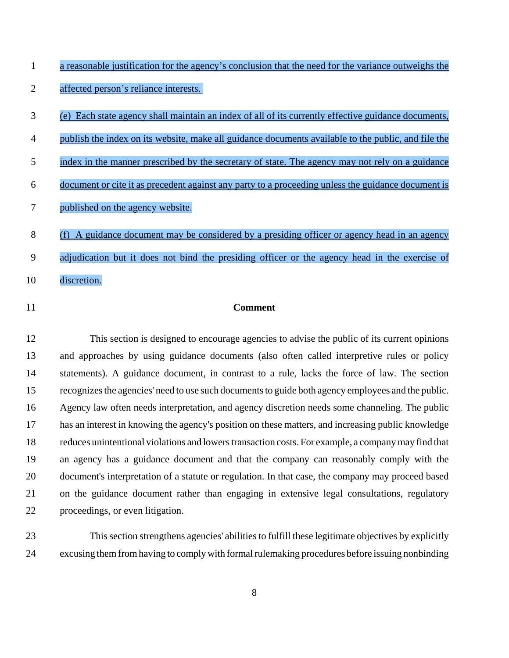|                | casonaoic fastification for the agency is concrasion that the neca for the variance outwergins the     |
|----------------|--------------------------------------------------------------------------------------------------------|
| $\overline{2}$ | affected person's reliance interests.                                                                  |
| 3              | Each state agency shall maintain an index of all of its currently effective guidance documents,<br>(e) |
| $\overline{4}$ | publish the index on its website, make all guidance documents available to the public, and file the    |
| 5              | index in the manner prescribed by the secretary of state. The agency may not rely on a guidance        |
| 6              | document or cite it as precedent against any party to a proceeding unless the guidance document is     |
| 7              | published on the agency website.                                                                       |
| 8              | A guidance document may be considered by a presiding officer or agency head in an agency<br>(f)        |
| 9              | adjudication but it does not bind the presiding officer or the agency head in the exercise of          |
| 10             | discretion.                                                                                            |
| 11             | <b>Comment</b>                                                                                         |

a reasonable justification for the agency's conclusion that the need for the variance outweighs the

 This section is designed to encourage agencies to advise the public of its current opinions and approaches by using guidance documents (also often called interpretive rules or policy statements). A guidance document, in contrast to a rule, lacks the force of law. The section recognizes the agencies' need to use such documents to guide both agency employees and the public. Agency law often needs interpretation, and agency discretion needs some channeling. The public has an interest in knowing the agency's position on these matters, and increasing public knowledge reduces unintentional violations and lowers transaction costs. For example, a company may find that an agency has a guidance document and that the company can reasonably comply with the document's interpretation of a statute or regulation. In that case, the company may proceed based on the guidance document rather than engaging in extensive legal consultations, regulatory proceedings, or even litigation.

 This section strengthens agencies' abilities to fulfill these legitimate objectives by explicitly excusing them from having to comply with formal rulemaking procedures before issuing nonbinding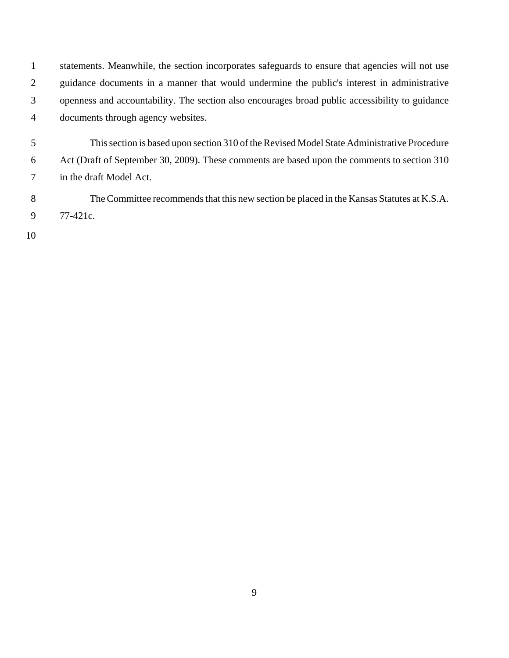statements. Meanwhile, the section incorporates safeguards to ensure that agencies will not use guidance documents in a manner that would undermine the public's interest in administrative openness and accountability. The section also encourages broad public accessibility to guidance documents through agency websites.

 This section is based upon section 310 of the Revised Model State Administrative Procedure Act (Draft of September 30, 2009). These comments are based upon the comments to section 310 in the draft Model Act.

 The Committee recommends that this new section be placed in the Kansas Statutes at K.S.A. 77-421c.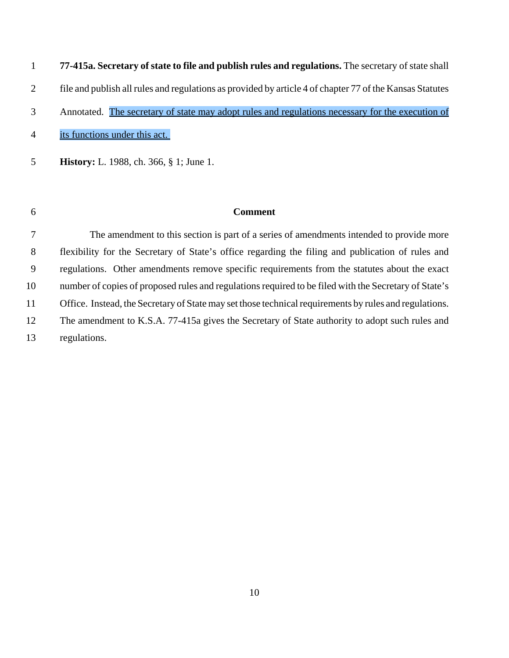**77-415a. Secretary of state to file and publish rules and regulations.** The secretary of state shall file and publish all rules and regulations as provided by article 4 of chapter 77 of the Kansas Statutes Annotated. The secretary of state may adopt rules and regulations necessary for the execution of its functions under this act.

**History:** L. 1988, ch. 366, § 1; June 1.

## **Comment**

 The amendment to this section is part of a series of amendments intended to provide more flexibility for the Secretary of State's office regarding the filing and publication of rules and regulations. Other amendments remove specific requirements from the statutes about the exact number of copies of proposed rules and regulations required to be filed with the Secretary of State's 11 Office. Instead, the Secretary of State may set those technical requirements by rules and regulations. The amendment to K.S.A. 77-415a gives the Secretary of State authority to adopt such rules and regulations.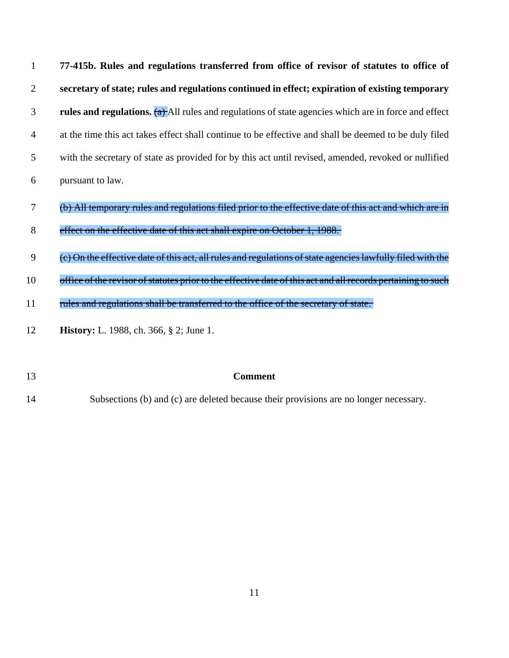| $\mathbf{1}$ | 77-415b. Rules and regulations transferred from office of revisor of statutes to office of                   |
|--------------|--------------------------------------------------------------------------------------------------------------|
| 2            | secretary of state; rules and regulations continued in effect; expiration of existing temporary              |
| 3            | rules and regulations. $(a)$ All rules and regulations of state agencies which are in force and effect       |
| 4            | at the time this act takes effect shall continue to be effective and shall be deemed to be duly filed        |
| 5            | with the secretary of state as provided for by this act until revised, amended, revoked or nullified         |
| 6            | pursuant to law.                                                                                             |
| 7            | (b) All temporary rules and regulations filed prior to the effective date of this act and which are in       |
| 8            | effect on the effective date of this act shall expire on October 1, 1988.                                    |
| 9            | (e) On the effective date of this act, all rules and regulations of state agencies lawfully filed with the   |
| 10           | office of the revisor of statutes prior to the effective date of this act and all records pertaining to such |
| 11           | rules and regulations shall be transferred to the office of the secretary of state.                          |
| 12           | <b>History:</b> L. 1988, ch. 366, § 2; June 1.                                                               |

 **Comment** Subsections (b) and (c) are deleted because their provisions are no longer necessary.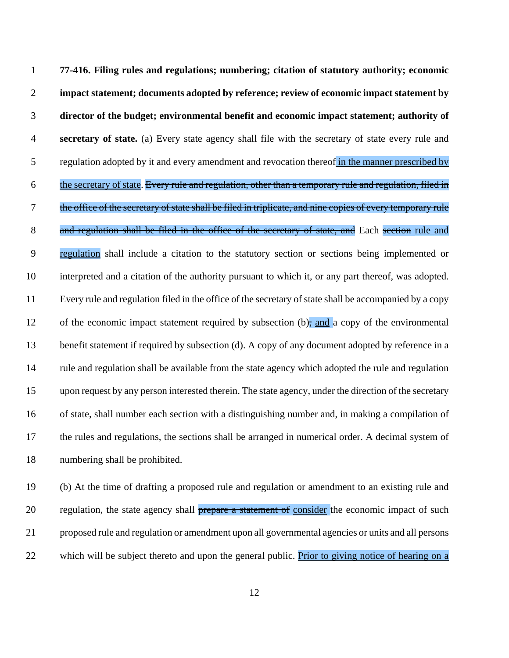**77-416. Filing rules and regulations; numbering; citation of statutory authority; economic impact statement; documents adopted by reference; review of economic impact statement by director of the budget; environmental benefit and economic impact statement; authority of secretary of state.** (a) Every state agency shall file with the secretary of state every rule and regulation adopted by it and every amendment and revocation thereof in the manner prescribed by 6 the secretary of state. Every rule and regulation, other than a temporary rule and regulation, filed in 7 the office of the secretary of state shall be filed in triplicate, and nine copies of every temporary rule 8 and regulation shall be filed in the office of the secretary of state, and Each section rule and regulation shall include a citation to the statutory section or sections being implemented or interpreted and a citation of the authority pursuant to which it, or any part thereof, was adopted. Every rule and regulation filed in the office of the secretary of state shall be accompanied by a copy 12 of the economic impact statement required by subsection (b), and a copy of the environmental 13 benefit statement if required by subsection (d). A copy of any document adopted by reference in a rule and regulation shall be available from the state agency which adopted the rule and regulation upon request by any person interested therein. The state agency, under the direction of the secretary of state, shall number each section with a distinguishing number and, in making a compilation of the rules and regulations, the sections shall be arranged in numerical order. A decimal system of numbering shall be prohibited.

 (b) At the time of drafting a proposed rule and regulation or amendment to an existing rule and 20 regulation, the state agency shall **prepare a statement of consider the economic impact of such**  proposed rule and regulation or amendment upon all governmental agencies or units and all persons 22 which will be subject thereto and upon the general public. Prior to giving notice of hearing on a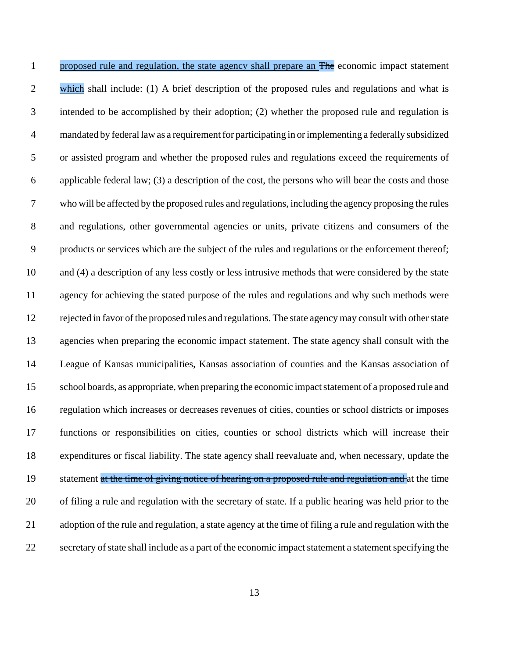1 proposed rule and regulation, the state agency shall prepare an The economic impact statement 2 which shall include: (1) A brief description of the proposed rules and regulations and what is intended to be accomplished by their adoption; (2) whether the proposed rule and regulation is mandated by federal law as a requirement for participating in or implementing a federally subsidized or assisted program and whether the proposed rules and regulations exceed the requirements of applicable federal law; (3) a description of the cost, the persons who will bear the costs and those who will be affected by the proposed rules and regulations, including the agency proposing the rules and regulations, other governmental agencies or units, private citizens and consumers of the products or services which are the subject of the rules and regulations or the enforcement thereof; and (4) a description of any less costly or less intrusive methods that were considered by the state agency for achieving the stated purpose of the rules and regulations and why such methods were rejected in favor of the proposed rules and regulations. The state agency may consult with other state agencies when preparing the economic impact statement. The state agency shall consult with the League of Kansas municipalities, Kansas association of counties and the Kansas association of school boards, as appropriate, when preparing the economic impact statement of a proposed rule and regulation which increases or decreases revenues of cities, counties or school districts or imposes functions or responsibilities on cities, counties or school districts which will increase their expenditures or fiscal liability. The state agency shall reevaluate and, when necessary, update the 19 statement at the time of giving notice of hearing on a proposed rule and regulation and at the time of filing a rule and regulation with the secretary of state. If a public hearing was held prior to the adoption of the rule and regulation, a state agency at the time of filing a rule and regulation with the secretary of state shall include as a part of the economic impact statement a statement specifying the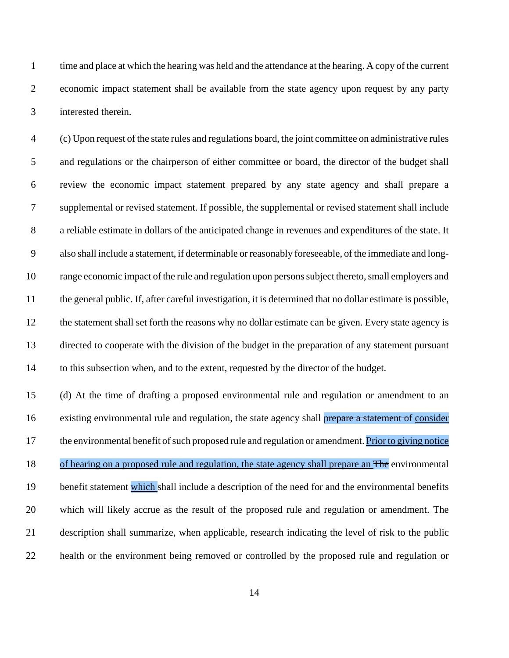time and place at which the hearing was held and the attendance at the hearing. A copy of the current economic impact statement shall be available from the state agency upon request by any party interested therein.

 (c) Upon request of the state rules and regulations board, the joint committee on administrative rules and regulations or the chairperson of either committee or board, the director of the budget shall review the economic impact statement prepared by any state agency and shall prepare a supplemental or revised statement. If possible, the supplemental or revised statement shall include a reliable estimate in dollars of the anticipated change in revenues and expenditures of the state. It also shall include a statement, if determinable or reasonably foreseeable, of the immediate and long- range economic impact of the rule and regulation upon persons subject thereto, small employers and the general public. If, after careful investigation, it is determined that no dollar estimate is possible, the statement shall set forth the reasons why no dollar estimate can be given. Every state agency is directed to cooperate with the division of the budget in the preparation of any statement pursuant to this subsection when, and to the extent, requested by the director of the budget.

 (d) At the time of drafting a proposed environmental rule and regulation or amendment to an 16 existing environmental rule and regulation, the state agency shall prepare a statement of consider the environmental benefit of such proposed rule and regulation or amendment. Priorto giving notice 18 of hearing on a proposed rule and regulation, the state agency shall prepare an The environmental benefit statement which shall include a description of the need for and the environmental benefits which will likely accrue as the result of the proposed rule and regulation or amendment. The description shall summarize, when applicable, research indicating the level of risk to the public health or the environment being removed or controlled by the proposed rule and regulation or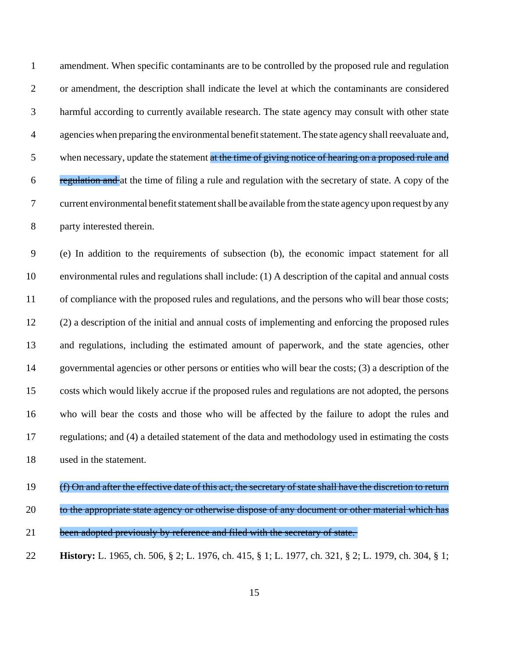| $\mathbf{1}$   | amendment. When specific contaminants are to be controlled by the proposed rule and regulation        |
|----------------|-------------------------------------------------------------------------------------------------------|
| 2              | or amendment, the description shall indicate the level at which the contaminants are considered       |
| 3              | harmful according to currently available research. The state agency may consult with other state      |
| $\overline{4}$ | agencies when preparing the environmental benefit statement. The state agency shall reevaluate and,   |
| 5              | when necessary, update the statement at the time of giving notice of hearing on a proposed rule and   |
| 6              | regulation and at the time of filing a rule and regulation with the secretary of state. A copy of the |
| $\tau$         | current environmental benefit statement shall be available from the state agency upon request by any  |
| 8              | party interested therein.                                                                             |

 (e) In addition to the requirements of subsection (b), the economic impact statement for all environmental rules and regulations shall include: (1) A description of the capital and annual costs of compliance with the proposed rules and regulations, and the persons who will bear those costs; (2) a description of the initial and annual costs of implementing and enforcing the proposed rules and regulations, including the estimated amount of paperwork, and the state agencies, other governmental agencies or other persons or entities who will bear the costs; (3) a description of the costs which would likely accrue if the proposed rules and regulations are not adopted, the persons who will bear the costs and those who will be affected by the failure to adopt the rules and regulations; and (4) a detailed statement of the data and methodology used in estimating the costs used in the statement.

# 19 (f) On and after the effective date of this act, the secretary of state shall have the discretion to return 20 to the appropriate state agency or otherwise dispose of any document or other material which has

- 21 been adopted previously by reference and filed with the secretary of state.
- **History:** L. 1965, ch. 506, § 2; L. 1976, ch. 415, § 1; L. 1977, ch. 321, § 2; L. 1979, ch. 304, § 1;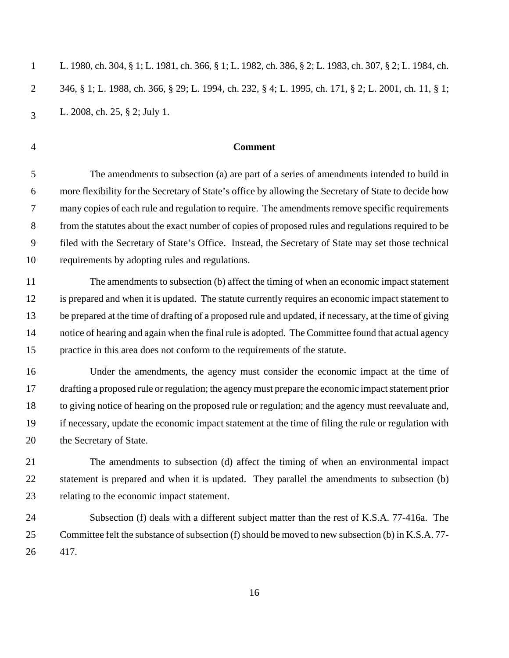| $\mathbf{1}$ | L. 1980, ch. 304, § 1; L. 1981, ch. 366, § 1; L. 1982, ch. 386, § 2; L. 1983, ch. 307, § 2; L. 1984, ch. |
|--------------|----------------------------------------------------------------------------------------------------------|
|              | 346, § 1; L. 1988, ch. 366, § 29; L. 1994, ch. 232, § 4; L. 1995, ch. 171, § 2; L. 2001, ch. 11, § 1;    |
| $\mathbf{a}$ | L. 2008, ch. 25, § 2; July 1.                                                                            |

### **Comment**

 The amendments to subsection (a) are part of a series of amendments intended to build in more flexibility for the Secretary of State's office by allowing the Secretary of State to decide how many copies of each rule and regulation to require. The amendments remove specific requirements from the statutes about the exact number of copies of proposed rules and regulations required to be filed with the Secretary of State's Office. Instead, the Secretary of State may set those technical requirements by adopting rules and regulations.

 The amendments to subsection (b) affect the timing of when an economic impact statement is prepared and when it is updated. The statute currently requires an economic impact statement to be prepared at the time of drafting of a proposed rule and updated, if necessary, at the time of giving notice of hearing and again when the final rule is adopted. The Committee found that actual agency practice in this area does not conform to the requirements of the statute.

 Under the amendments, the agency must consider the economic impact at the time of drafting a proposed rule or regulation; the agency must prepare the economic impact statement prior to giving notice of hearing on the proposed rule or regulation; and the agency must reevaluate and, if necessary, update the economic impact statement at the time of filing the rule or regulation with the Secretary of State.

 The amendments to subsection (d) affect the timing of when an environmental impact 22 statement is prepared and when it is updated. They parallel the amendments to subsection (b) relating to the economic impact statement.

 Subsection (f) deals with a different subject matter than the rest of K.S.A. 77-416a. The Committee felt the substance of subsection (f) should be moved to new subsection (b) in K.S.A. 77- 417.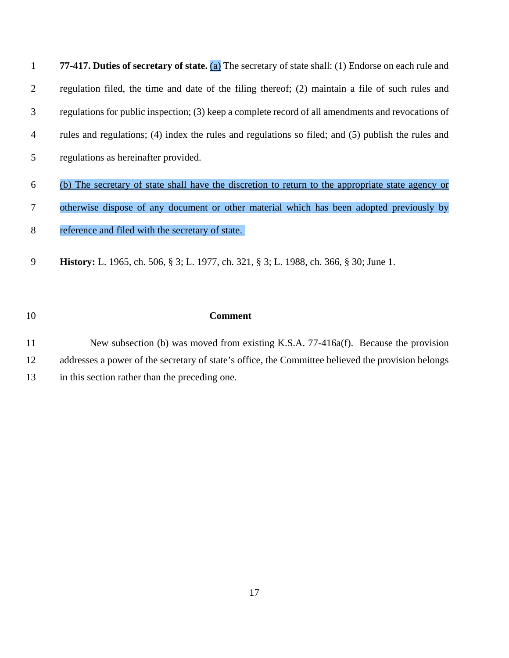**77-417. Duties of secretary of state.** (a) The secretary of state shall: (1) Endorse on each rule and regulation filed, the time and date of the filing thereof; (2) maintain a file of such rules and regulations for public inspection; (3) keep a complete record of all amendments and revocations of rules and regulations; (4) index the rules and regulations so filed; and (5) publish the rules and regulations as hereinafter provided.

- (b) The secretary of state shall have the discretion to return to the appropriate state agency or
- otherwise dispose of any document or other material which has been adopted previously by
- reference and filed with the secretary of state.
- **History:** L. 1965, ch. 506, § 3; L. 1977, ch. 321, § 3; L. 1988, ch. 366, § 30; June 1.

# **Comment**

 New subsection (b) was moved from existing K.S.A. 77-416a(f). Because the provision addresses a power of the secretary of state's office, the Committee believed the provision belongs in this section rather than the preceding one.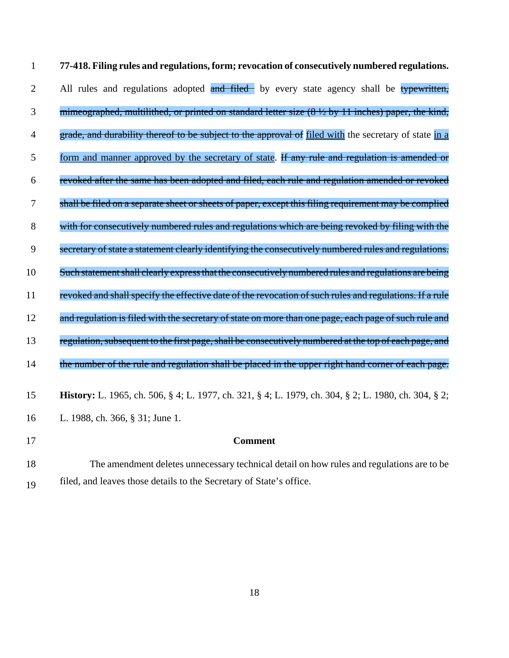| $\mathbf{1}$   | 77-418. Filing rules and regulations, form; revocation of consecutively numbered regulations.           |
|----------------|---------------------------------------------------------------------------------------------------------|
| $\overline{2}$ | All rules and regulations adopted and filed by every state agency shall be typewritten,                 |
| 3              | mimeographed, multilithed, or printed on standard letter size (8 1/2 by 11 inches) paper, the kind,     |
| $\overline{4}$ | grade, and durability thereof to be subject to the approval of filed with the secretary of state in a   |
| 5              | form and manner approved by the secretary of state. If any rule and regulation is amended or            |
| 6              | revoked after the same has been adopted and filed, each rule and regulation amended or revoked          |
| $\overline{7}$ | shall be filed on a separate sheet or sheets of paper, except this filing requirement may be complied   |
| 8              | with for consecutively numbered rules and regulations which are being revoked by filing with the        |
| 9              | secretary of state a statement clearly identifying the consecutively numbered rules and regulations.    |
| 10             | Such statement shall clearly express that the consecutively numbered rules and regulations are being    |
| 11             | revoked and shall specify the effective date of the revocation of such rules and regulations. If a rule |
| 12             | and regulation is filed with the secretary of state on more than one page, each page of such rule and   |
| 13             | regulation, subsequent to the first page, shall be consecutively numbered at the top of each page, and  |
| 14             | the number of the rule and regulation shall be placed in the upper right hand corner of each page.      |
| 15             | History: L. 1965, ch. 506, § 4; L. 1977, ch. 321, § 4; L. 1979, ch. 304, § 2; L. 1980, ch. 304, § 2;    |
| 16             | L. 1988, ch. 366, § 31; June 1.                                                                         |
| 17             | <b>Comment</b>                                                                                          |
|                |                                                                                                         |

 The amendment deletes unnecessary technical detail on how rules and regulations are to be filed, and leaves those details to the Secretary of State's office.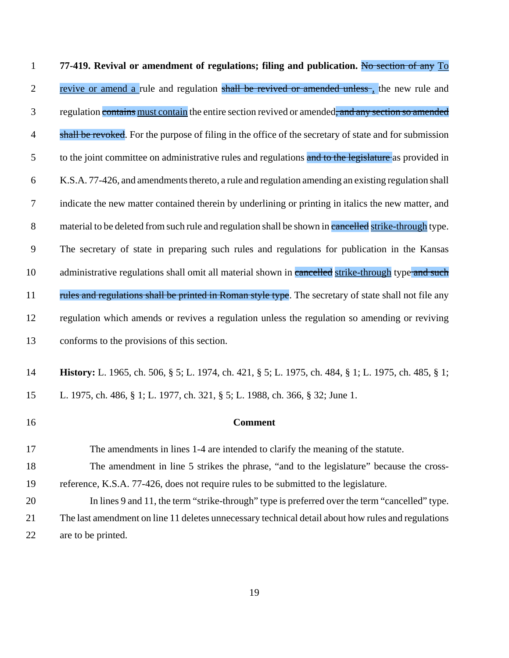**77-419. Revival or amendment of regulations; filing and publication.** No section of any To 2 revive or amend a rule and regulation shall be revived or amended unless, the new rule and 3 regulation contains must contain the entire section revived or amended, and any section so amended 4 shall be revoked. For the purpose of filing in the office of the secretary of state and for submission 5 to the joint committee on administrative rules and regulations and to the legislature as provided in K.S.A. 77-426, and amendments thereto, a rule and regulation amending an existing regulation shall indicate the new matter contained therein by underlining or printing in italics the new matter, and 8 material to be deleted from such rule and regulation shall be shown in cancelled strike-through type. The secretary of state in preparing such rules and regulations for publication in the Kansas 10 administrative regulations shall omit all material shown in cancelled strike-through type and such 11 rules and regulations shall be printed in Roman style type. The secretary of state shall not file any regulation which amends or revives a regulation unless the regulation so amending or reviving conforms to the provisions of this section. **History:** L. 1965, ch. 506, § 5; L. 1974, ch. 421, § 5; L. 1975, ch. 484, § 1; L. 1975, ch. 485, § 1; L. 1975, ch. 486, § 1; L. 1977, ch. 321, § 5; L. 1988, ch. 366, § 32; June 1. **Comment** The amendments in lines 1-4 are intended to clarify the meaning of the statute.

- The amendment in line 5 strikes the phrase, "and to the legislature" because the cross-reference, K.S.A. 77-426, does not require rules to be submitted to the legislature.
- In lines 9 and 11, the term "strike-through" type is preferred over the term "cancelled" type. The last amendment on line 11 deletes unnecessary technical detail about how rules and regulations are to be printed.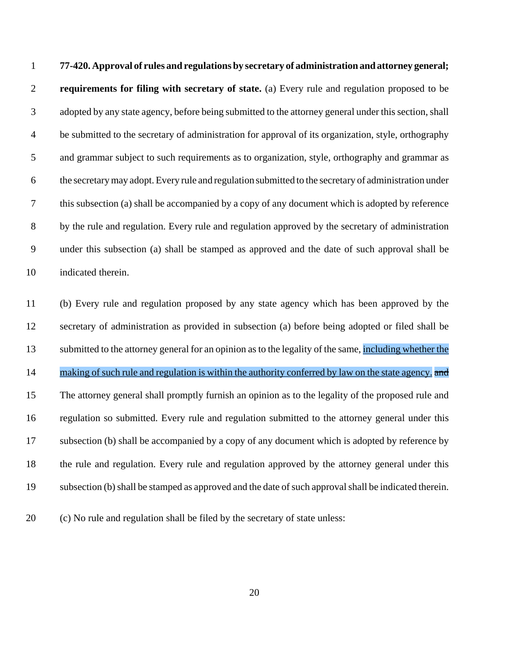**77-420. Approval of rules and regulations by secretary of administration and attorney general; requirements for filing with secretary of state.** (a) Every rule and regulation proposed to be adopted by any state agency, before being submitted to the attorney general under this section, shall be submitted to the secretary of administration for approval of its organization, style, orthography and grammar subject to such requirements as to organization, style, orthography and grammar as the secretary may adopt. Every rule and regulation submitted to the secretary of administration under this subsection (a) shall be accompanied by a copy of any document which is adopted by reference 8 by the rule and regulation. Every rule and regulation approved by the secretary of administration under this subsection (a) shall be stamped as approved and the date of such approval shall be indicated therein.

 (b) Every rule and regulation proposed by any state agency which has been approved by the secretary of administration as provided in subsection (a) before being adopted or filed shall be submitted to the attorney general for an opinion as to the legality of the same, including whether the 14 making of such rule and regulation is within the authority conferred by law on the state agency. The attorney general shall promptly furnish an opinion as to the legality of the proposed rule and regulation so submitted. Every rule and regulation submitted to the attorney general under this subsection (b) shall be accompanied by a copy of any document which is adopted by reference by the rule and regulation. Every rule and regulation approved by the attorney general under this subsection (b) shall be stamped as approved and the date of such approval shall be indicated therein.

(c) No rule and regulation shall be filed by the secretary of state unless: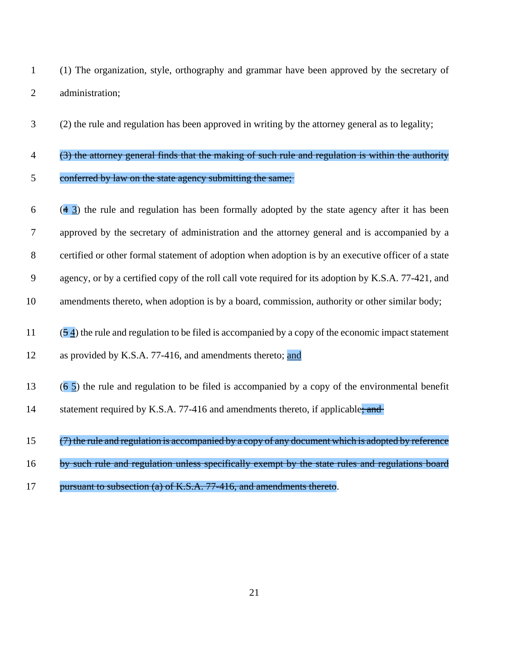(1) The organization, style, orthography and grammar have been approved by the secretary of administration;

(2) the rule and regulation has been approved in writing by the attorney general as to legality;

- (3) the attorney general finds that the making of such rule and regulation is within the authority conferred by law on the state agency submitting the same;
- $6 \times (4 \cdot 3)$  the rule and regulation has been formally adopted by the state agency after it has been approved by the secretary of administration and the attorney general and is accompanied by a certified or other formal statement of adoption when adoption is by an executive officer of a state agency, or by a certified copy of the roll call vote required for its adoption by K.S.A. 77-421, and 10 amendments thereto, when adoption is by a board, commission, authority or other similar body; (5.4) the rule and regulation to be filed is accompanied by a copy of the economic impact statement
- 12 as provided by K.S.A. 77-416, and amendments thereto; and
- 13 ( $\frac{6}{5}$ ) the rule and regulation to be filed is accompanied by a copy of the environmental benefit
- 14 statement required by K.S.A. 77-416 and amendments thereto, if applicable; and
- (7) the rule and regulation is accompanied by a copy of any document which is adopted by reference
- by such rule and regulation unless specifically exempt by the state rules and regulations board
- 17 pursuant to subsection (a) of K.S.A. 77-416, and amendments thereto.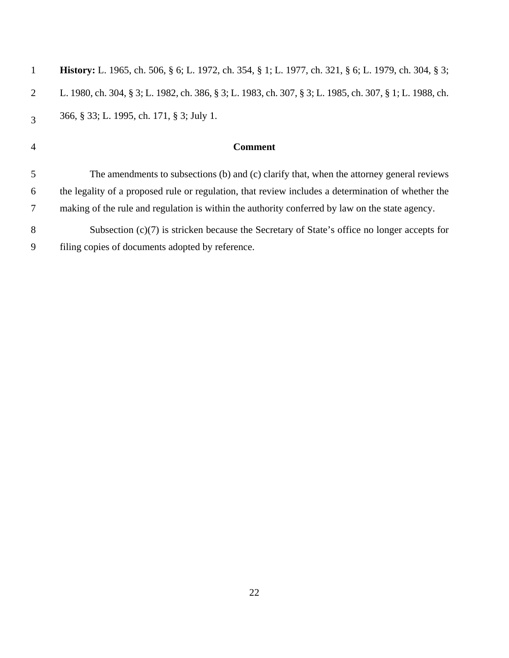| <b>History:</b> L. 1965, ch. 506, § 6; L. 1972, ch. 354, § 1; L. 1977, ch. 321, § 6; L. 1979, ch. 304, § 3; |
|-------------------------------------------------------------------------------------------------------------|
| L. 1980, ch. 304, § 3; L. 1982, ch. 386, § 3; L. 1983, ch. 307, § 3; L. 1985, ch. 307, § 1; L. 1988, ch.    |
| 366, § 33; L. 1995, ch. 171, § 3; July 1.                                                                   |
| <b>Comment</b>                                                                                              |
|                                                                                                             |
| The amendments to subsections (b) and (c) clarify that, when the attorney general reviews                   |
| the legality of a proposed rule or regulation, that review includes a determination of whether the          |
| making of the rule and regulation is within the authority conferred by law on the state agency.             |
| Subsection $(c)(7)$ is stricken because the Secretary of State's office no longer accepts for               |
|                                                                                                             |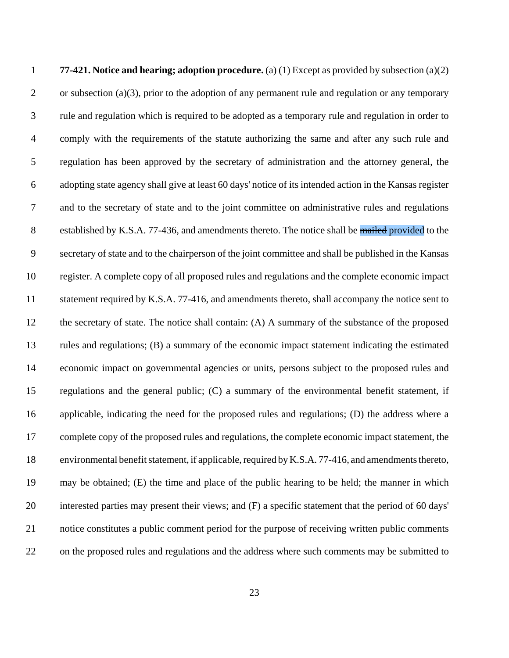**77-421. Notice and hearing; adoption procedure.** (a) (1) Except as provided by subsection (a)(2) 2 or subsection (a)(3), prior to the adoption of any permanent rule and regulation or any temporary rule and regulation which is required to be adopted as a temporary rule and regulation in order to comply with the requirements of the statute authorizing the same and after any such rule and regulation has been approved by the secretary of administration and the attorney general, the adopting state agency shall give at least 60 days' notice of its intended action in the Kansas register and to the secretary of state and to the joint committee on administrative rules and regulations 8 established by K.S.A. 77-436, and amendments thereto. The notice shall be mailed provided to the secretary of state and to the chairperson of the joint committee and shall be published in the Kansas register. A complete copy of all proposed rules and regulations and the complete economic impact 11 statement required by K.S.A. 77-416, and amendments thereto, shall accompany the notice sent to the secretary of state. The notice shall contain: (A) A summary of the substance of the proposed rules and regulations; (B) a summary of the economic impact statement indicating the estimated economic impact on governmental agencies or units, persons subject to the proposed rules and regulations and the general public; (C) a summary of the environmental benefit statement, if applicable, indicating the need for the proposed rules and regulations; (D) the address where a complete copy of the proposed rules and regulations, the complete economic impact statement, the environmental benefit statement, if applicable, required by K.S.A. 77-416, and amendments thereto, may be obtained; (E) the time and place of the public hearing to be held; the manner in which interested parties may present their views; and (F) a specific statement that the period of 60 days' notice constitutes a public comment period for the purpose of receiving written public comments on the proposed rules and regulations and the address where such comments may be submitted to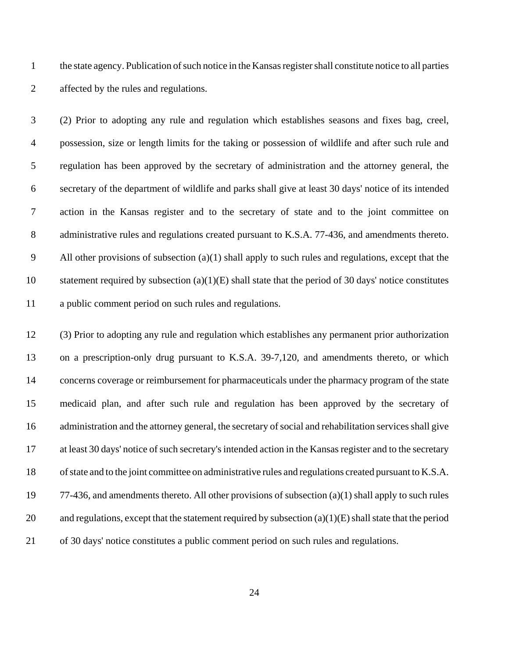the state agency. Publication of such notice in the Kansas register shall constitute notice to all parties affected by the rules and regulations.

 (2) Prior to adopting any rule and regulation which establishes seasons and fixes bag, creel, possession, size or length limits for the taking or possession of wildlife and after such rule and regulation has been approved by the secretary of administration and the attorney general, the secretary of the department of wildlife and parks shall give at least 30 days' notice of its intended action in the Kansas register and to the secretary of state and to the joint committee on administrative rules and regulations created pursuant to K.S.A. 77-436, and amendments thereto. All other provisions of subsection (a)(1) shall apply to such rules and regulations, except that the statement required by subsection (a)(1)(E) shall state that the period of 30 days' notice constitutes a public comment period on such rules and regulations.

 (3) Prior to adopting any rule and regulation which establishes any permanent prior authorization on a prescription-only drug pursuant to K.S.A. 39-7,120, and amendments thereto, or which concerns coverage or reimbursement for pharmaceuticals under the pharmacy program of the state medicaid plan, and after such rule and regulation has been approved by the secretary of administration and the attorney general, the secretary of social and rehabilitation services shall give at least 30 days' notice of such secretary's intended action in the Kansas register and to the secretary of state and to the joint committee on administrative rules and regulations created pursuant to K.S.A. 77-436, and amendments thereto. All other provisions of subsection (a)(1) shall apply to such rules 20 and regulations, except that the statement required by subsection  $(a)(1)(E)$  shall state that the period of 30 days' notice constitutes a public comment period on such rules and regulations.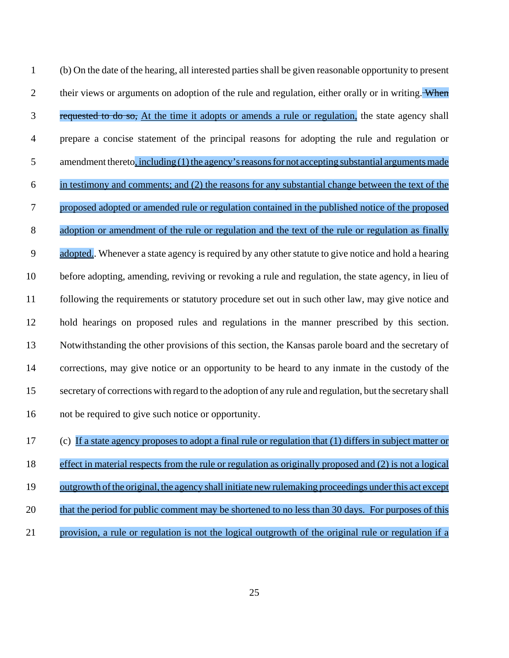(b) On the date of the hearing, all interested parties shall be given reasonable opportunity to present 2 their views or arguments on adoption of the rule and regulation, either orally or in writing. When 3 requested to do so, At the time it adopts or amends a rule or regulation, the state agency shall prepare a concise statement of the principal reasons for adopting the rule and regulation or 5 amendment thereto, including (1) the agency's reasons for not accepting substantial arguments made in testimony and comments; and (2) the reasons for any substantial change between the text of the proposed adopted or amended rule or regulation contained in the published notice of the proposed 8 adoption or amendment of the rule or regulation and the text of the rule or regulation as finally adopted.. Whenever a state agency is required by any other statute to give notice and hold a hearing before adopting, amending, reviving or revoking a rule and regulation, the state agency, in lieu of following the requirements or statutory procedure set out in such other law, may give notice and hold hearings on proposed rules and regulations in the manner prescribed by this section. Notwithstanding the other provisions of this section, the Kansas parole board and the secretary of corrections, may give notice or an opportunity to be heard to any inmate in the custody of the secretary of corrections with regard to the adoption of any rule and regulation, but the secretary shall not be required to give such notice or opportunity.

(c) If a state agency proposes to adopt a final rule or regulation that (1) differs in subject matter or

effect in material respects from the rule or regulation as originally proposed and (2) is not a logical

- 19 outgrowth of the original, the agency shall initiate new rulemaking proceedings under this act except
- that the period for public comment may be shortened to no less than 30 days. For purposes of this
- provision, a rule or regulation is not the logical outgrowth of the original rule or regulation if a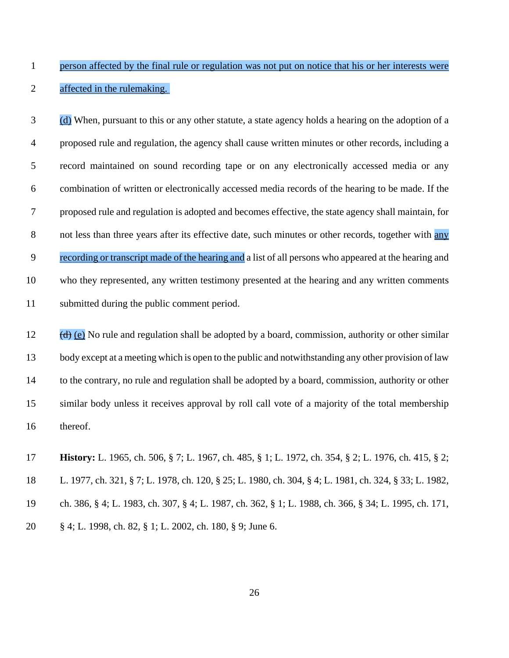# person affected by the final rule or regulation was not put on notice that his or her interests were affected in the rulemaking.

 (d) When, pursuant to this or any other statute, a state agency holds a hearing on the adoption of a proposed rule and regulation, the agency shall cause written minutes or other records, including a record maintained on sound recording tape or on any electronically accessed media or any combination of written or electronically accessed media records of the hearing to be made. If the proposed rule and regulation is adopted and becomes effective, the state agency shall maintain, for 8 not less than three years after its effective date, such minutes or other records, together with any recording or transcript made of the hearing and a list of all persons who appeared at the hearing and who they represented, any written testimony presented at the hearing and any written comments submitted during the public comment period.

 (d) (e) No rule and regulation shall be adopted by a board, commission, authority or other similar body except at a meeting which is open to the public and notwithstanding any other provision of law to the contrary, no rule and regulation shall be adopted by a board, commission, authority or other similar body unless it receives approval by roll call vote of a majority of the total membership thereof.

 **History:** L. 1965, ch. 506, § 7; L. 1967, ch. 485, § 1; L. 1972, ch. 354, § 2; L. 1976, ch. 415, § 2; L. 1977, ch. 321, § 7; L. 1978, ch. 120, § 25; L. 1980, ch. 304, § 4; L. 1981, ch. 324, § 33; L. 1982, ch. 386, § 4; L. 1983, ch. 307, § 4; L. 1987, ch. 362, § 1; L. 1988, ch. 366, § 34; L. 1995, ch. 171, § 4; L. 1998, ch. 82, § 1; L. 2002, ch. 180, § 9; June 6.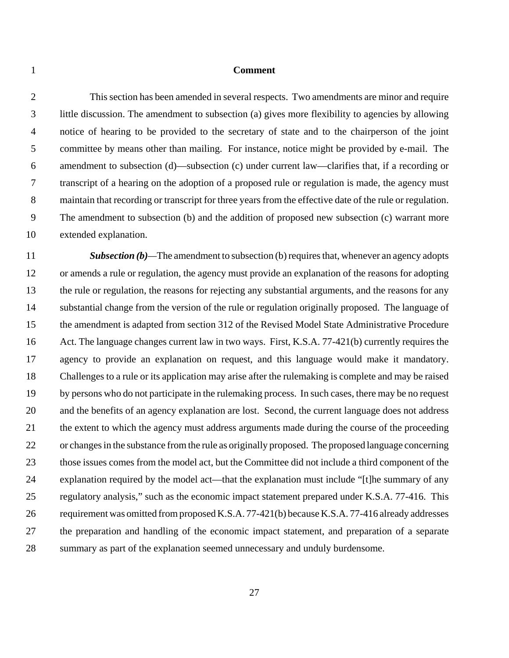### **Comment**

 This section has been amended in several respects. Two amendments are minor and require little discussion. The amendment to subsection (a) gives more flexibility to agencies by allowing notice of hearing to be provided to the secretary of state and to the chairperson of the joint committee by means other than mailing. For instance, notice might be provided by e-mail. The amendment to subsection (d)—subsection (c) under current law—clarifies that, if a recording or transcript of a hearing on the adoption of a proposed rule or regulation is made, the agency must maintain that recording or transcript for three years from the effective date of the rule or regulation. The amendment to subsection (b) and the addition of proposed new subsection (c) warrant more extended explanation.

**Subsection (b)**—The amendment to subsection (b) requires that, whenever an agency adopts or amends a rule or regulation, the agency must provide an explanation of the reasons for adopting the rule or regulation, the reasons for rejecting any substantial arguments, and the reasons for any substantial change from the version of the rule or regulation originally proposed. The language of the amendment is adapted from section 312 of the Revised Model State Administrative Procedure Act. The language changes current law in two ways. First, K.S.A. 77-421(b) currently requires the agency to provide an explanation on request, and this language would make it mandatory. Challenges to a rule or its application may arise after the rulemaking is complete and may be raised by persons who do not participate in the rulemaking process. In such cases, there may be no request and the benefits of an agency explanation are lost. Second, the current language does not address the extent to which the agency must address arguments made during the course of the proceeding or changes in the substance from the rule as originally proposed. The proposed language concerning those issues comes from the model act, but the Committee did not include a third component of the explanation required by the model act—that the explanation must include "[t]he summary of any regulatory analysis," such as the economic impact statement prepared under K.S.A. 77-416. This requirement was omitted from proposed K.S.A. 77-421(b) because K.S.A. 77-416 already addresses the preparation and handling of the economic impact statement, and preparation of a separate summary as part of the explanation seemed unnecessary and unduly burdensome.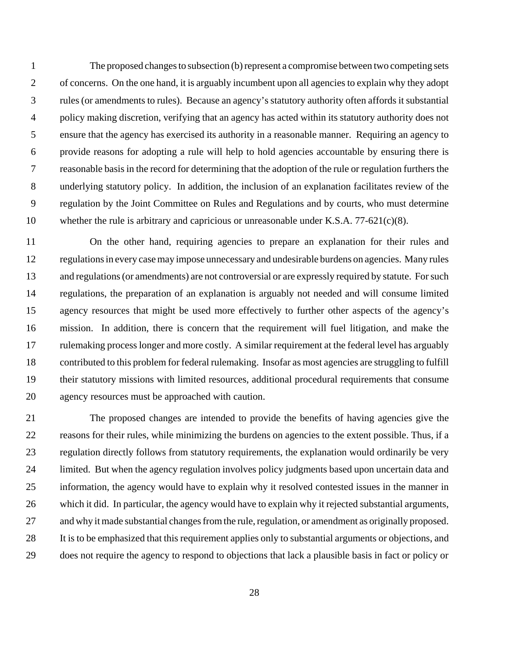The proposed changes to subsection (b) represent a compromise between two competing sets of concerns. On the one hand, it is arguably incumbent upon all agencies to explain why they adopt rules (or amendments to rules). Because an agency's statutory authority often affords it substantial policy making discretion, verifying that an agency has acted within its statutory authority does not ensure that the agency has exercised its authority in a reasonable manner. Requiring an agency to provide reasons for adopting a rule will help to hold agencies accountable by ensuring there is reasonable basis in the record for determining that the adoption of the rule or regulation furthers the underlying statutory policy. In addition, the inclusion of an explanation facilitates review of the regulation by the Joint Committee on Rules and Regulations and by courts, who must determine whether the rule is arbitrary and capricious or unreasonable under K.S.A. 77-621(c)(8).

 On the other hand, requiring agencies to prepare an explanation for their rules and regulations in every case may impose unnecessary and undesirable burdens on agencies. Many rules 13 and regulations (or amendments) are not controversial or are expressly required by statute. For such regulations, the preparation of an explanation is arguably not needed and will consume limited agency resources that might be used more effectively to further other aspects of the agency's mission. In addition, there is concern that the requirement will fuel litigation, and make the rulemaking process longer and more costly. A similar requirement at the federal level has arguably contributed to this problem for federal rulemaking. Insofar as most agencies are struggling to fulfill their statutory missions with limited resources, additional procedural requirements that consume agency resources must be approached with caution.

 The proposed changes are intended to provide the benefits of having agencies give the reasons for their rules, while minimizing the burdens on agencies to the extent possible. Thus, if a regulation directly follows from statutory requirements, the explanation would ordinarily be very limited. But when the agency regulation involves policy judgments based upon uncertain data and information, the agency would have to explain why it resolved contested issues in the manner in which it did. In particular, the agency would have to explain why it rejected substantial arguments, and why it made substantial changes from the rule, regulation, or amendment as originally proposed. It is to be emphasized that this requirement applies only to substantial arguments or objections, and does not require the agency to respond to objections that lack a plausible basis in fact or policy or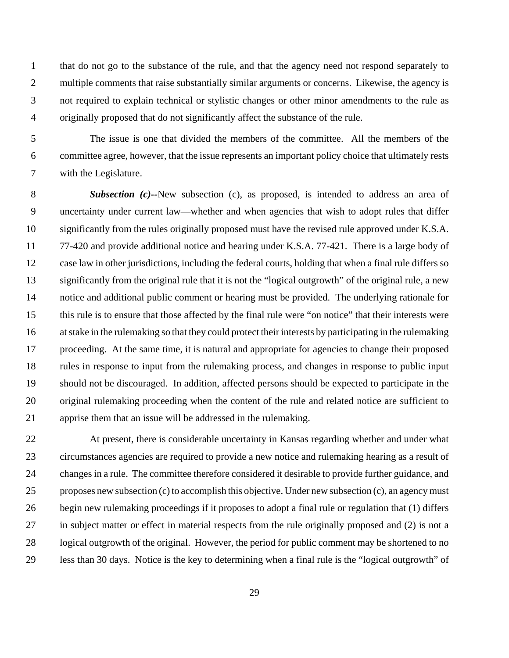that do not go to the substance of the rule, and that the agency need not respond separately to 2 multiple comments that raise substantially similar arguments or concerns. Likewise, the agency is not required to explain technical or stylistic changes or other minor amendments to the rule as originally proposed that do not significantly affect the substance of the rule.

 The issue is one that divided the members of the committee. All the members of the committee agree, however, that the issue represents an important policy choice that ultimately rests with the Legislature.

 *Subsection (c)--*New subsection (c), as proposed, is intended to address an area of uncertainty under current law—whether and when agencies that wish to adopt rules that differ significantly from the rules originally proposed must have the revised rule approved under K.S.A. 77-420 and provide additional notice and hearing under K.S.A. 77-421. There is a large body of case law in other jurisdictions, including the federal courts, holding that when a final rule differs so significantly from the original rule that it is not the "logical outgrowth" of the original rule, a new notice and additional public comment or hearing must be provided. The underlying rationale for this rule is to ensure that those affected by the final rule were "on notice" that their interests were at stake in the rulemaking so that they could protect their interests by participating in the rulemaking proceeding. At the same time, it is natural and appropriate for agencies to change their proposed rules in response to input from the rulemaking process, and changes in response to public input should not be discouraged. In addition, affected persons should be expected to participate in the original rulemaking proceeding when the content of the rule and related notice are sufficient to apprise them that an issue will be addressed in the rulemaking.

 At present, there is considerable uncertainty in Kansas regarding whether and under what circumstances agencies are required to provide a new notice and rulemaking hearing as a result of changes in a rule. The committee therefore considered it desirable to provide further guidance, and proposes new subsection (c) to accomplish this objective. Under new subsection (c), an agency must begin new rulemaking proceedings if it proposes to adopt a final rule or regulation that (1) differs in subject matter or effect in material respects from the rule originally proposed and (2) is not a logical outgrowth of the original. However, the period for public comment may be shortened to no less than 30 days. Notice is the key to determining when a final rule is the "logical outgrowth" of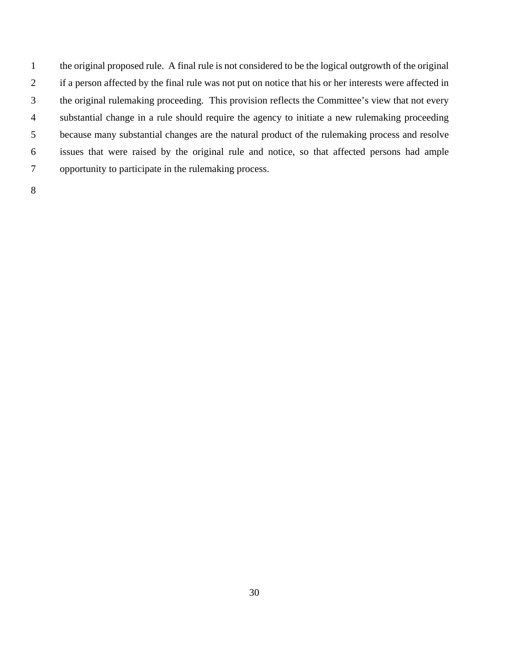the original proposed rule. A final rule is not considered to be the logical outgrowth of the original if a person affected by the final rule was not put on notice that his or her interests were affected in the original rulemaking proceeding. This provision reflects the Committee's view that not every substantial change in a rule should require the agency to initiate a new rulemaking proceeding because many substantial changes are the natural product of the rulemaking process and resolve issues that were raised by the original rule and notice, so that affected persons had ample opportunity to participate in the rulemaking process.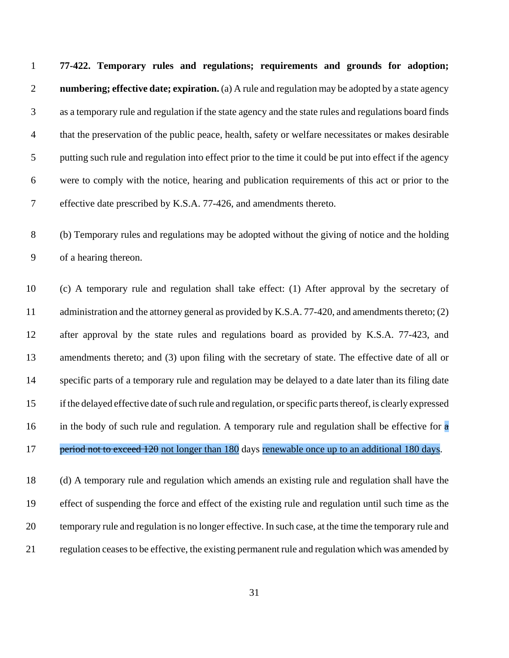**77-422. Temporary rules and regulations; requirements and grounds for adoption; numbering; effective date; expiration.** (a) A rule and regulation may be adopted by a state agency as a temporary rule and regulation if the state agency and the state rules and regulations board finds that the preservation of the public peace, health, safety or welfare necessitates or makes desirable putting such rule and regulation into effect prior to the time it could be put into effect if the agency were to comply with the notice, hearing and publication requirements of this act or prior to the effective date prescribed by K.S.A. 77-426, and amendments thereto.

 (b) Temporary rules and regulations may be adopted without the giving of notice and the holding of a hearing thereon.

 (c) A temporary rule and regulation shall take effect: (1) After approval by the secretary of 11 administration and the attorney general as provided by K.S.A. 77-420, and amendments thereto; (2) after approval by the state rules and regulations board as provided by K.S.A. 77-423, and amendments thereto; and (3) upon filing with the secretary of state. The effective date of all or specific parts of a temporary rule and regulation may be delayed to a date later than its filing date if the delayed effective date of such rule and regulation, or specific parts thereof, is clearly expressed 16 in the body of such rule and regulation. A temporary rule and regulation shall be effective for  $\alpha$ 17 period not to exceed 120 not longer than 180 days renewable once up to an additional 180 days.

 (d) A temporary rule and regulation which amends an existing rule and regulation shall have the effect of suspending the force and effect of the existing rule and regulation until such time as the temporary rule and regulation is no longer effective. In such case, at the time the temporary rule and regulation ceases to be effective, the existing permanent rule and regulation which was amended by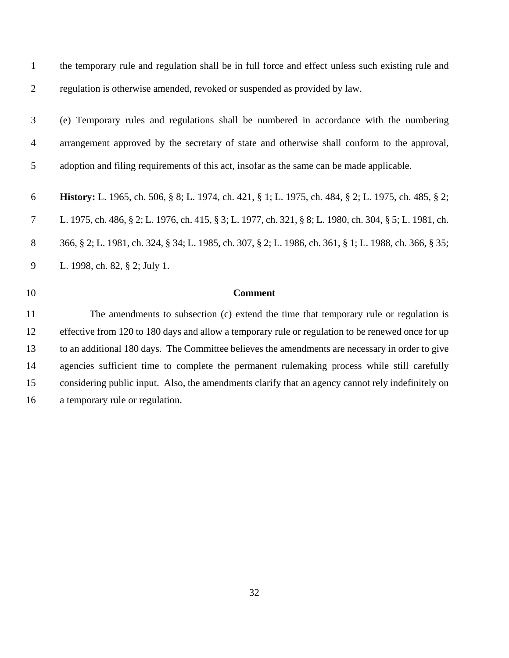| the temporary rule and regulation shall be in full force and effect unless such existing rule and           |
|-------------------------------------------------------------------------------------------------------------|
| regulation is otherwise amended, revoked or suspended as provided by law.                                   |
| (e) Temporary rules and regulations shall be numbered in accordance with the numbering                      |
| arrangement approved by the secretary of state and otherwise shall conform to the approval,                 |
| adoption and filing requirements of this act, insofar as the same can be made applicable.                   |
| <b>History:</b> L. 1965, ch. 506, § 8; L. 1974, ch. 421, § 1; L. 1975, ch. 484, § 2; L. 1975, ch. 485, § 2; |
| L. 1975, ch. 486, § 2; L. 1976, ch. 415, § 3; L. 1977, ch. 321, § 8; L. 1980, ch. 304, § 5; L. 1981, ch.    |
| 366, § 2; L. 1981, ch. 324, § 34; L. 1985, ch. 307, § 2; L. 1986, ch. 361, § 1; L. 1988, ch. 366, § 35;     |
| L. 1998, ch. 82, § 2; July 1.                                                                               |
| <b>Comment</b>                                                                                              |
| The amendments to subsection (c) extend the time that temporary rule or regulation is                       |
| effective from 120 to 180 days and allow a temporary rule or regulation to be renewed once for up           |
| to an additional 180 days. The Committee believes the amendments are necessary in order to give             |
| agencies sufficient time to complete the permanent rulemaking process while still carefully                 |
| considering public input. Also, the amendments clarify that an agency cannot rely indefinitely on           |
|                                                                                                             |

a temporary rule or regulation.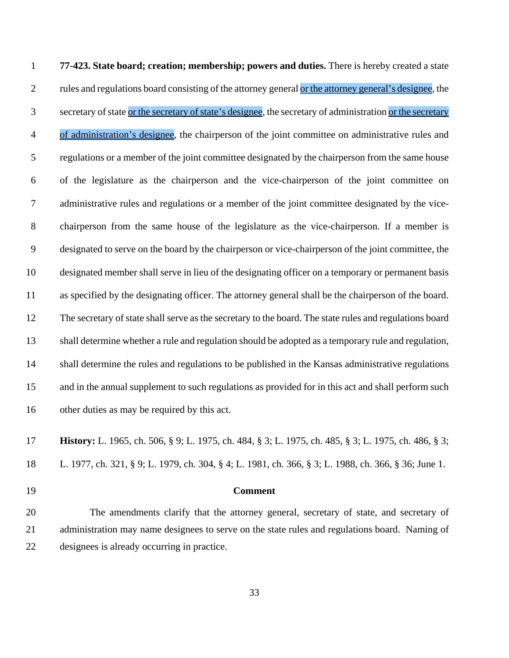**77-423. State board; creation; membership; powers and duties.** There is hereby created a state 2 rules and regulations board consisting of the attorney general or the attorney general's designee, the 3 secretary of state or the secretary of state's designee, the secretary of administration or the secretary of administration's designee, the chairperson of the joint committee on administrative rules and regulations or a member of the joint committee designated by the chairperson from the same house of the legislature as the chairperson and the vice-chairperson of the joint committee on administrative rules and regulations or a member of the joint committee designated by the vice- chairperson from the same house of the legislature as the vice-chairperson. If a member is designated to serve on the board by the chairperson or vice-chairperson of the joint committee, the designated member shall serve in lieu of the designating officer on a temporary or permanent basis as specified by the designating officer. The attorney general shall be the chairperson of the board. The secretary of state shall serve as the secretary to the board. The state rules and regulations board shall determine whether a rule and regulation should be adopted as a temporary rule and regulation, shall determine the rules and regulations to be published in the Kansas administrative regulations and in the annual supplement to such regulations as provided for in this act and shall perform such other duties as may be required by this act.

 **History:** L. 1965, ch. 506, § 9; L. 1975, ch. 484, § 3; L. 1975, ch. 485, § 3; L. 1975, ch. 486, § 3; L. 1977, ch. 321, § 9; L. 1979, ch. 304, § 4; L. 1981, ch. 366, § 3; L. 1988, ch. 366, § 36; June 1.

### **Comment**

 The amendments clarify that the attorney general, secretary of state, and secretary of administration may name designees to serve on the state rules and regulations board. Naming of designees is already occurring in practice.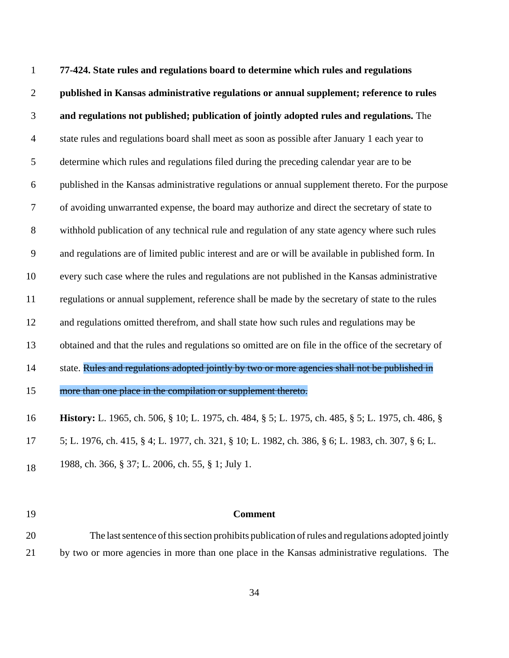**77-424. State rules and regulations board to determine which rules and regulations published in Kansas administrative regulations or annual supplement; reference to rules and regulations not published; publication of jointly adopted rules and regulations.** The state rules and regulations board shall meet as soon as possible after January 1 each year to determine which rules and regulations filed during the preceding calendar year are to be published in the Kansas administrative regulations or annual supplement thereto. For the purpose of avoiding unwarranted expense, the board may authorize and direct the secretary of state to withhold publication of any technical rule and regulation of any state agency where such rules and regulations are of limited public interest and are or will be available in published form. In every such case where the rules and regulations are not published in the Kansas administrative regulations or annual supplement, reference shall be made by the secretary of state to the rules 12 and regulations omitted therefrom, and shall state how such rules and regulations may be obtained and that the rules and regulations so omitted are on file in the office of the secretary of 14 state. Rules and regulations adopted jointly by two or more agencies shall not be published in 15 more than one place in the compilation or supplement thereto. **History:** L. 1965, ch. 506, § 10; L. 1975, ch. 484, § 5; L. 1975, ch. 485, § 5; L. 1975, ch. 486, § 5; L. 1976, ch. 415, § 4; L. 1977, ch. 321, § 10; L. 1982, ch. 386, § 6; L. 1983, ch. 307, § 6; L. 18 1988, ch. 366, § 37; L. 2006, ch. 55, § 1; July 1.

### **Comment**

 The last sentence of this section prohibits publication of rules and regulations adopted jointly by two or more agencies in more than one place in the Kansas administrative regulations. The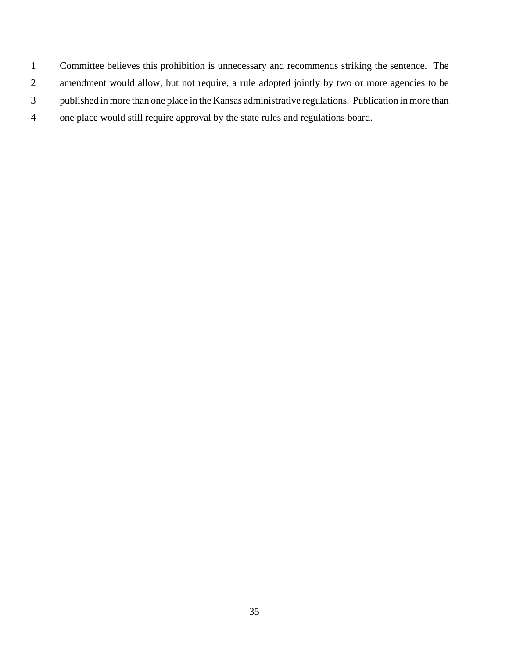Committee believes this prohibition is unnecessary and recommends striking the sentence. The amendment would allow, but not require, a rule adopted jointly by two or more agencies to be published in more than one place in the Kansas administrative regulations. Publication in more than one place would still require approval by the state rules and regulations board.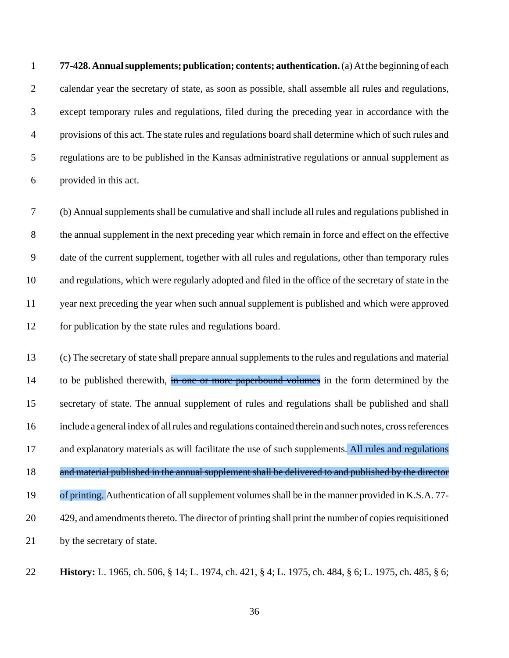**77-428. Annual supplements; publication; contents; authentication.** (a) At the beginning of each calendar year the secretary of state, as soon as possible, shall assemble all rules and regulations, except temporary rules and regulations, filed during the preceding year in accordance with the provisions of this act. The state rules and regulations board shall determine which of such rules and regulations are to be published in the Kansas administrative regulations or annual supplement as provided in this act.

 (b) Annual supplements shall be cumulative and shall include all rules and regulations published in the annual supplement in the next preceding year which remain in force and effect on the effective date of the current supplement, together with all rules and regulations, other than temporary rules and regulations, which were regularly adopted and filed in the office of the secretary of state in the year next preceding the year when such annual supplement is published and which were approved for publication by the state rules and regulations board.

 (c) The secretary of state shall prepare annual supplements to the rules and regulations and material 14 to be published therewith, in one or more paperbound volumes in the form determined by the secretary of state. The annual supplement of rules and regulations shall be published and shall include a general index of all rules and regulations contained therein and such notes, cross references 17 and explanatory materials as will facilitate the use of such supplements. All rules and regulations 18 and material published in the annual supplement shall be delivered to and published by the director 19 of printing. Authentication of all supplement volumes shall be in the manner provided in K.S.A. 77- 429, and amendments thereto. The director of printing shall print the number of copies requisitioned by the secretary of state.

**History:** L. 1965, ch. 506, § 14; L. 1974, ch. 421, § 4; L. 1975, ch. 484, § 6; L. 1975, ch. 485, § 6;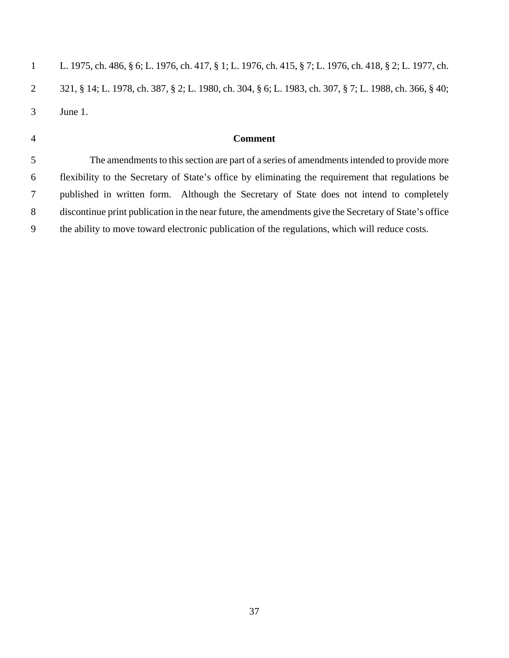|   | L. 1975, ch. 486, § 6; L. 1976, ch. 417, § 1; L. 1976, ch. 415, § 7; L. 1976, ch. 418, § 2; L. 1977, ch. |
|---|----------------------------------------------------------------------------------------------------------|
|   | 321, § 14; L. 1978, ch. 387, § 2; L. 1980, ch. 304, § 6; L. 1983, ch. 307, § 7; L. 1988, ch. 366, § 40;  |
| 3 | June 1.                                                                                                  |
|   |                                                                                                          |

# **Comment**

 The amendments to this section are part of a series of amendments intended to provide more flexibility to the Secretary of State's office by eliminating the requirement that regulations be published in written form. Although the Secretary of State does not intend to completely discontinue print publication in the near future, the amendments give the Secretary of State's office the ability to move toward electronic publication of the regulations, which will reduce costs.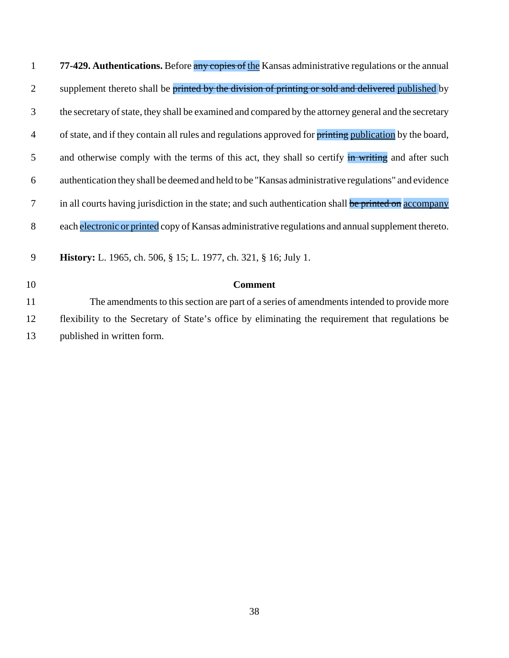| $\mathbf{1}$   | 77-429. Authentications. Before any copies of the Kansas administrative regulations or the annual       |
|----------------|---------------------------------------------------------------------------------------------------------|
| 2              | supplement thereto shall be printed by the division of printing or sold and delivered published by      |
| 3              | the secretary of state, they shall be examined and compared by the attorney general and the secretary   |
| 4              | of state, and if they contain all rules and regulations approved for printing publication by the board, |
| 5              | and otherwise comply with the terms of this act, they shall so certify in writing and after such        |
| 6              | authentication they shall be deemed and held to be "Kansas administrative regulations" and evidence     |
| $\overline{7}$ | in all courts having jurisdiction in the state; and such authentication shall be printed on accompany   |
| 8              | each electronic or printed copy of Kansas administrative regulations and annual supplement thereto.     |
| 9              | History: L. 1965, ch. 506, § 15; L. 1977, ch. 321, § 16; July 1.                                        |
| 10             | <b>Comment</b>                                                                                          |
| 11             | The amendments to this section are part of a series of amendments intended to provide more              |
| 12             | flexibility to the Secretary of State's office by eliminating the requirement that regulations be       |
| 13             | published in written form.                                                                              |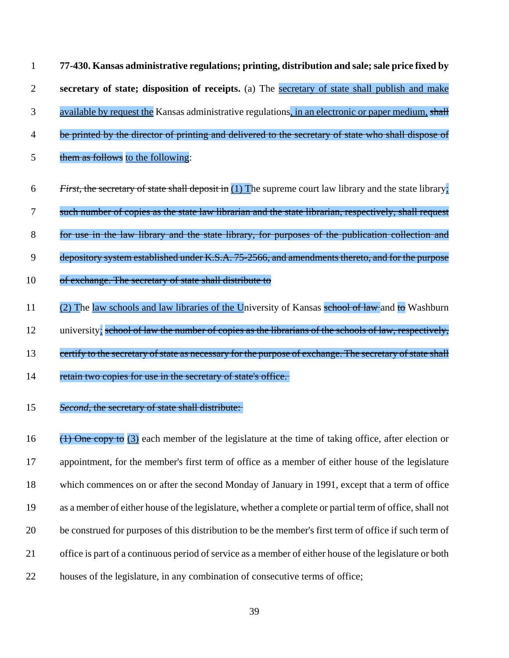| $\mathbf{1}$   | 77-430. Kansas administrative regulations; printing, distribution and sale; sale price fixed by                   |
|----------------|-------------------------------------------------------------------------------------------------------------------|
| $\overline{2}$ | secretary of state; disposition of receipts. (a) The secretary of state shall publish and make                    |
| 3              | available by request the Kansas administrative regulations, in an electronic or paper medium, shall               |
| 4              | be printed by the director of printing and delivered to the secretary of state who shall dispose of               |
| 5              | them as follows to the following:                                                                                 |
| 6              | <i>First</i> , the secretary of state shall deposit in $(1)$ The supreme court law library and the state library. |
| 7              | such number of copies as the state law librarian and the state librarian, respectively, shall request             |
| $8\phantom{1}$ | for use in the law library and the state library, for purposes of the publication collection and                  |
| 9              | depository system established under K.S.A. 75-2566, and amendments thereto, and for the purpose                   |
| 10             | of exchange. The secretary of state shall distribute to                                                           |
| 11             | (2) The law schools and law libraries of the University of Kansas school of law and to Washburn                   |
| 12             | university; school of law the number of copies as the librarians of the schools of law, respectively,             |
| 13             | certify to the secretary of state as necessary for the purpose of exchange. The secretary of state shall          |
| 14             | retain two copies for use in the secretary of state's office.                                                     |
| 15             | Second, the secretary of state shall distribute:                                                                  |

 $\left(1\right)$  One copy to (3) each member of the legislature at the time of taking office, after election or appointment, for the member's first term of office as a member of either house of the legislature which commences on or after the second Monday of January in 1991, except that a term of office as a member of either house of the legislature, whether a complete or partial term of office, shall not be construed for purposes of this distribution to be the member's first term of office if such term of office is part of a continuous period of service as a member of either house of the legislature or both houses of the legislature, in any combination of consecutive terms of office;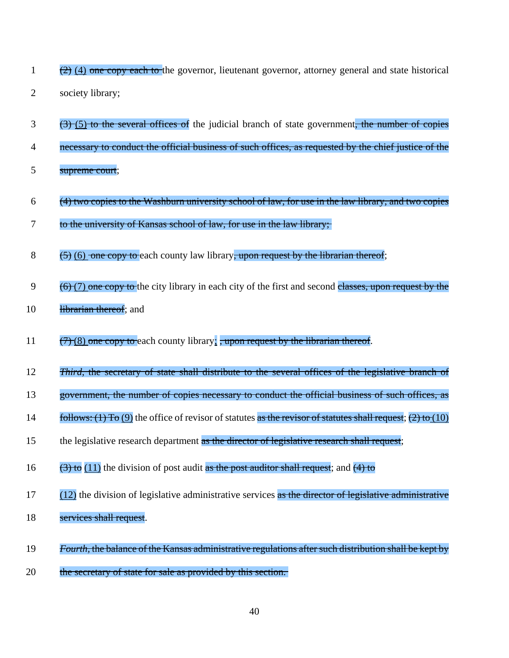| $(2)$ (4) one copy each to the governor, lieutenant governor, attorney general and state historical |  |  |  |  |
|-----------------------------------------------------------------------------------------------------|--|--|--|--|
| society library;                                                                                    |  |  |  |  |

- $3$  (3) (5) to the several offices of the judicial branch of state government, the number of copies
- 4 necessary to conduct the official business of such offices, as requested by the chief justice of the
- 5 supreme court;
- $(4)$  two copies to the Washburn university school of law, for use in the law library, and two copies
- 7 to the university of Kansas school of law, for use in the law library;
- 8  $(5)$  (6) one copy to each county law library, upon request by the librarian thereof;
- $9 \left(6\right)(7)$  one copy to the city library in each city of the first and second classes, upon request by the
- 10 librarian thereof; and
- 11  $\left(7\right)(8)$  one copy to each county library; , upon request by the librarian thereof.
- 12 *Third,* the secretary of state shall distribute to the several offices of the legislative branch of
- 13 government, the number of copies necessary to conduct the official business of such offices, as
- 14 follows: (1) To (9) the office of revisor of statutes as the revisor of statutes shall request; (2) to (10)
- 15 the legislative research department as the director of legislative research shall request;
- 16  $(3)$  to  $(11)$  the division of post audit as the post auditor shall request; and  $(4)$  to
- $17$  (12) the division of legislative administrative services as the director of legislative administrative
- 18 services shall request.
- 19 *Fourth,* the balance of the Kansas administrative regulations after such distribution shall be kept by
- 20 the secretary of state for sale as provided by this section.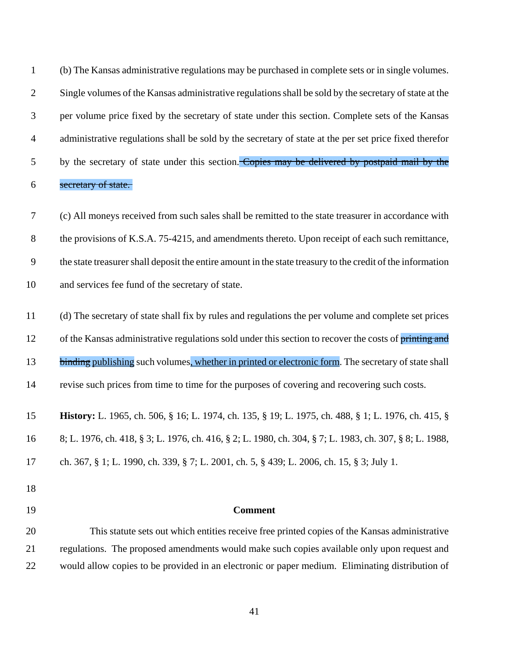| $\mathbf{1}$   | (b) The Kansas administrative regulations may be purchased in complete sets or in single volumes.          |
|----------------|------------------------------------------------------------------------------------------------------------|
| $\overline{2}$ | Single volumes of the Kansas administrative regulations shall be sold by the secretary of state at the     |
| 3              | per volume price fixed by the secretary of state under this section. Complete sets of the Kansas           |
| $\overline{4}$ | administrative regulations shall be sold by the secretary of state at the per set price fixed therefor     |
| 5              | by the secretary of state under this section. Copies may be delivered by postpaid mail by the              |
| 6              | secretary of state.                                                                                        |
| $\tau$         | (c) All moneys received from such sales shall be remitted to the state treasurer in accordance with        |
| $8\,$          | the provisions of K.S.A. 75-4215, and amendments thereto. Upon receipt of each such remittance,            |
| 9              | the state treasurer shall deposit the entire amount in the state treasury to the credit of the information |
| 10             | and services fee fund of the secretary of state.                                                           |
| 11             | (d) The secretary of state shall fix by rules and regulations the per volume and complete set prices       |
| 12             | of the Kansas administrative regulations sold under this section to recover the costs of printing and      |
| 13             | binding publishing such volumes, whether in printed or electronic form. The secretary of state shall       |
| 14             | revise such prices from time to time for the purposes of covering and recovering such costs.               |
| 15             | <b>History:</b> L. 1965, ch. 506, § 16; L. 1974, ch. 135, § 19; L. 1975, ch. 488, § 1; L. 1976, ch. 415, § |
| 16             | 8; L. 1976, ch. 418, § 3; L. 1976, ch. 416, § 2; L. 1980, ch. 304, § 7; L. 1983, ch. 307, § 8; L. 1988,    |
| 17             | ch. 367, § 1; L. 1990, ch. 339, § 7; L. 2001, ch. 5, § 439; L. 2006, ch. 15, § 3; July 1.                  |
| 18             |                                                                                                            |
| 19             | <b>Comment</b>                                                                                             |
| 20             | This statute sets out which entities receive free printed copies of the Kansas administrative              |
| 21             | regulations. The proposed amendments would make such copies available only upon request and                |
| 22             | would allow copies to be provided in an electronic or paper medium. Eliminating distribution of            |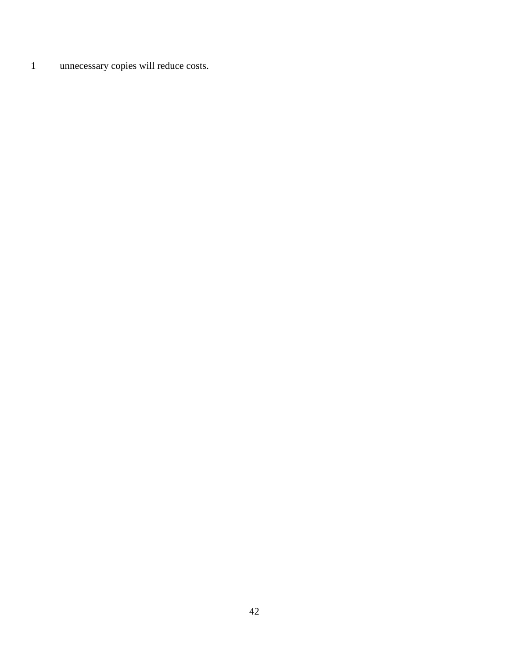unnecessary copies will reduce costs.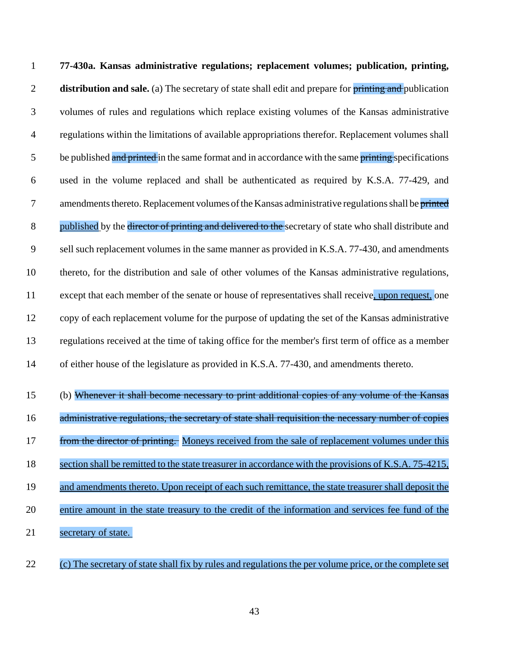**77-430a. Kansas administrative regulations; replacement volumes; publication, printing, distribution and sale.** (a) The secretary of state shall edit and prepare for **printing and** publication volumes of rules and regulations which replace existing volumes of the Kansas administrative regulations within the limitations of available appropriations therefor. Replacement volumes shall 5 be published and printed in the same format and in accordance with the same printing specifications used in the volume replaced and shall be authenticated as required by K.S.A. 77-429, and 7 amendments thereto. Replacement volumes of the Kansas administrative regulations shall be printed 8 published by the director of printing and delivered to the secretary of state who shall distribute and sell such replacement volumes in the same manner as provided in K.S.A. 77-430, and amendments thereto, for the distribution and sale of other volumes of the Kansas administrative regulations, 11 except that each member of the senate or house of representatives shall receive, upon request, one copy of each replacement volume for the purpose of updating the set of the Kansas administrative regulations received at the time of taking office for the member's first term of office as a member of either house of the legislature as provided in K.S.A. 77-430, and amendments thereto.

- (b) Whenever it shall become necessary to print additional copies of any volume of the Kansas 16 administrative regulations, the secretary of state shall requisition the necessary number of copies 17 from the director of printing. Moneys received from the sale of replacement volumes under this section shall be remitted to the state treasurer in accordance with the provisions of K.S.A. 75-4215, and amendments thereto. Upon receipt of each such remittance, the state treasurer shall deposit the entire amount in the state treasury to the credit of the information and services fee fund of the secretary of state.
- (c) The secretary of state shall fix by rules and regulations the per volume price, or the complete set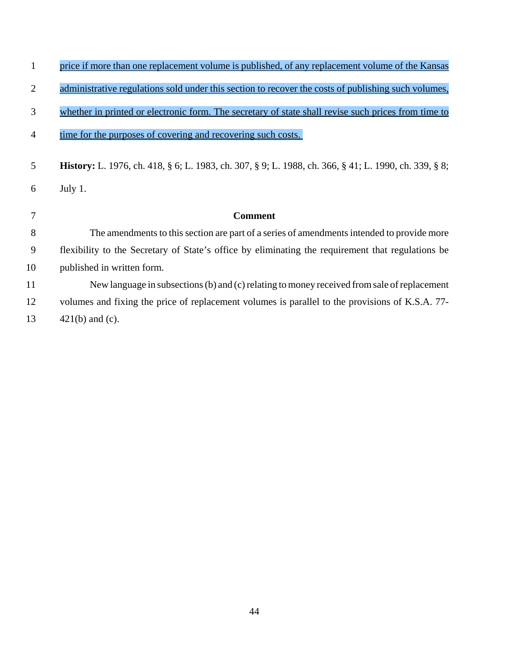| 1              | price if more than one replacement volume is published, of any replacement volume of the Kansas              |
|----------------|--------------------------------------------------------------------------------------------------------------|
| $\overline{2}$ | administrative regulations sold under this section to recover the costs of publishing such volumes,          |
| 3              | whether in printed or electronic form. The secretary of state shall revise such prices from time to          |
| $\overline{4}$ | time for the purposes of covering and recovering such costs.                                                 |
| 5              | <b>History:</b> L. 1976, ch. 418, § 6; L. 1983, ch. 307, § 9; L. 1988, ch. 366, § 41; L. 1990, ch. 339, § 8; |
| 6              | July 1.                                                                                                      |
| 7              | <b>Comment</b>                                                                                               |
| 8              |                                                                                                              |
|                | The amendments to this section are part of a series of amendments intended to provide more                   |
| 9              | flexibility to the Secretary of State's office by eliminating the requirement that regulations be            |
| 10             | published in written form.                                                                                   |
| 11             | New language in subsections (b) and (c) relating to money received from sale of replacement                  |
| 12             | volumes and fixing the price of replacement volumes is parallel to the provisions of K.S.A. 77-              |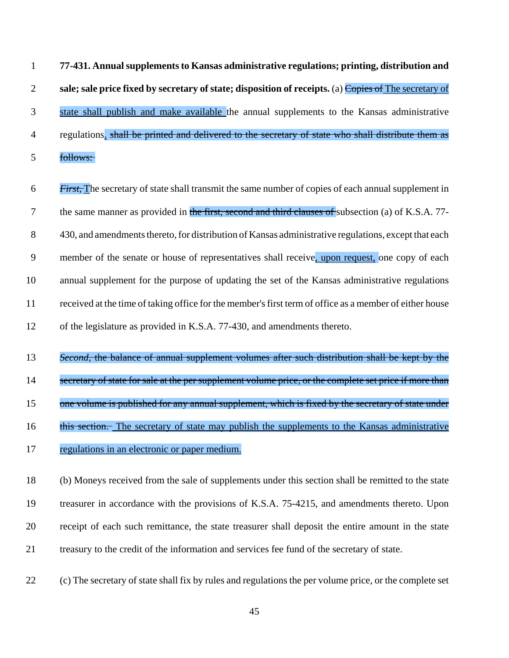**77-431. Annual supplements to Kansas administrative regulations; printing, distribution and sale; sale price fixed by secretary of state; disposition of receipts.** (a) Copies of The secretary of state shall publish and make available the annual supplements to the Kansas administrative 4 regulations. shall be printed and delivered to the secretary of state who shall distribute them as follows:

- *First,* The secretary of state shall transmit the same number of copies of each annual supplement in 7 the same manner as provided in the first, second and third clauses of subsection (a) of K.S.A. 77- 430, and amendments thereto, for distribution of Kansas administrative regulations, except that each member of the senate or house of representatives shall receive, upon request, one copy of each annual supplement for the purpose of updating the set of the Kansas administrative regulations received at the time of taking office for the member's first term of office as a member of either house of the legislature as provided in K.S.A. 77-430, and amendments thereto.
- *Second,* the balance of annual supplement volumes after such distribution shall be kept by the
- 14 secretary of state for sale at the per supplement volume price, or the complete set price if more than
- 15 one volume is published for any annual supplement, which is fixed by the secretary of state under
- 16 this section. The secretary of state may publish the supplements to the Kansas administrative
- regulations in an electronic or paper medium.
- (b) Moneys received from the sale of supplements under this section shall be remitted to the state treasurer in accordance with the provisions of K.S.A. 75-4215, and amendments thereto. Upon receipt of each such remittance, the state treasurer shall deposit the entire amount in the state treasury to the credit of the information and services fee fund of the secretary of state.
- (c) The secretary of state shall fix by rules and regulations the per volume price, or the complete set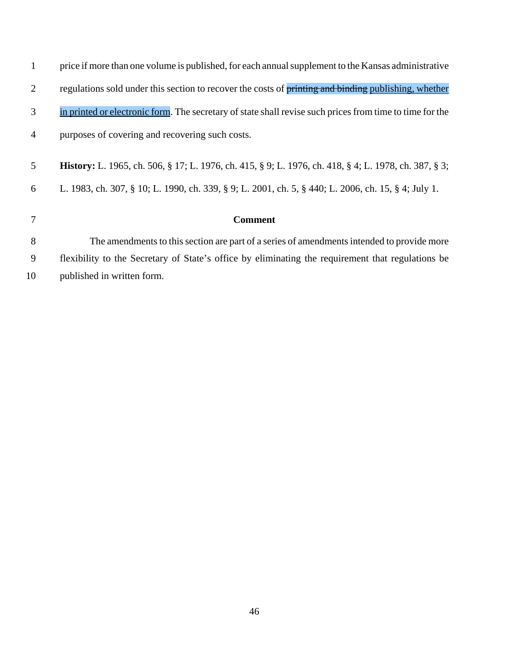| 1              | price if more than one volume is published, for each annual supplement to the Kansas administrative          |
|----------------|--------------------------------------------------------------------------------------------------------------|
| $\overline{2}$ | regulations sold under this section to recover the costs of printing and binding publishing, whether         |
| 3              | in printed or electronic form. The secretary of state shall revise such prices from time to time for the     |
| $\overline{4}$ | purposes of covering and recovering such costs.                                                              |
| 5 <sup>5</sup> | <b>History:</b> L. 1965, ch. 506, § 17; L. 1976, ch. 415, § 9; L. 1976, ch. 418, § 4; L. 1978, ch. 387, § 3; |
| 6              | L. 1983, ch. 307, § 10; L. 1990, ch. 339, § 9; L. 2001, ch. 5, § 440; L. 2006, ch. 15, § 4; July 1.          |
| 7              | <b>Comment</b>                                                                                               |
|                |                                                                                                              |
| 8              | The amendments to this section are part of a series of amendments intended to provide more                   |
| 9              | flexibility to the Secretary of State's office by eliminating the requirement that regulations be            |
| 10             | published in written form.                                                                                   |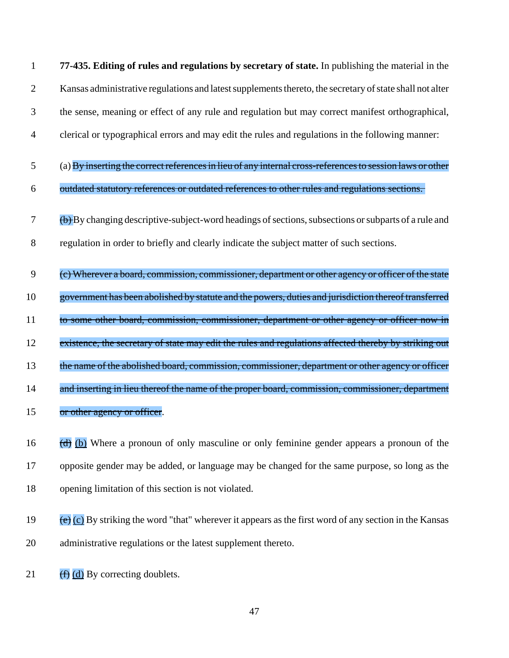1 **77-435. Editing of rules and regulations by secretary of state.** In publishing the material in the 2 Kansas administrative regulations and latest supplements thereto, the secretary of state shall not alter 3 the sense, meaning or effect of any rule and regulation but may correct manifest orthographical,

- 4 clerical or typographical errors and may edit the rules and regulations in the following manner:
- $5$  (a) By inserting the correct references in lieu of any internal cross-references to session laws or other
- 6 outdated statutory references or outdated references to other rules and regulations sections.
- $7$  (b) By changing descriptive-subject-word headings of sections, subsections or subparts of a rule and 8 regulation in order to briefly and clearly indicate the subject matter of such sections.
- 9 (c) Wherever a board, commission, commissioner, department or other agency or officer of the state 10 government has been abolished by statute and the powers, duties and jurisdiction thereof transferred 11 to some other board, commission, commissioner, department or other agency or officer now in 12 existence, the secretary of state may edit the rules and regulations affected thereby by striking out 13 the name of the abolished board, commission, commissioner, department or other agency or officer 14 and inserting in lieu thereof the name of the proper board, commission, commissioner, department 15 or other agency or officer.
- 16  $\frac{1}{(d)}$  (b) Where a pronoun of only masculine or only feminine gender appears a pronoun of the 17 opposite gender may be added, or language may be changed for the same purpose, so long as the 18 opening limitation of this section is not violated.
- 19 (e)  $\overline{e}$  (c) By striking the word "that" wherever it appears as the first word of any section in the Kansas 20 administrative regulations or the latest supplement thereto.
- 21  $(f)$   $(d)$  By correcting doublets.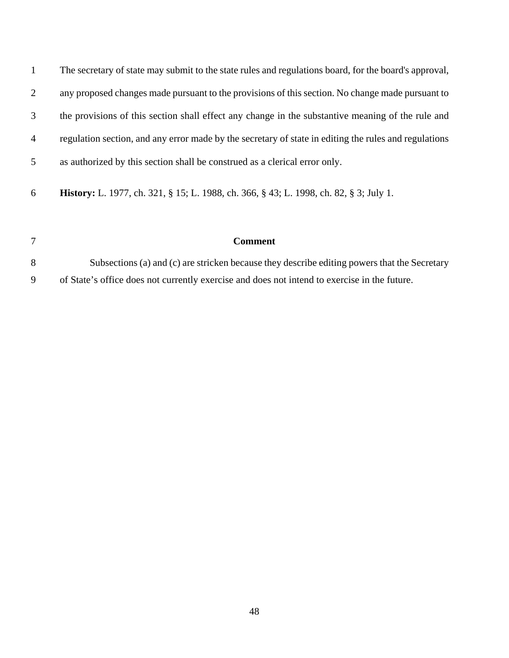| $\mathbf{1}$   | The secretary of state may submit to the state rules and regulations board, for the board's approval, |
|----------------|-------------------------------------------------------------------------------------------------------|
| 2              | any proposed changes made pursuant to the provisions of this section. No change made pursuant to      |
| 3              | the provisions of this section shall effect any change in the substantive meaning of the rule and     |
| $\overline{4}$ | regulation section, and any error made by the secretary of state in editing the rules and regulations |
| $\mathfrak{S}$ | as authorized by this section shall be construed as a clerical error only.                            |
| 6              | <b>History:</b> L. 1977, ch. 321, § 15; L. 1988, ch. 366, § 43; L. 1998, ch. 82, § 3; July 1.         |

# **Comment**

 Subsections (a) and (c) are stricken because they describe editing powers that the Secretary of State's office does not currently exercise and does not intend to exercise in the future.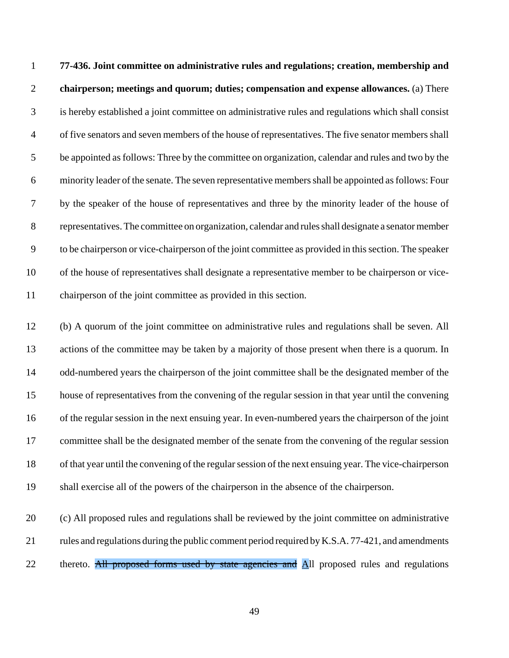**77-436. Joint committee on administrative rules and regulations; creation, membership and chairperson; meetings and quorum; duties; compensation and expense allowances.** (a) There is hereby established a joint committee on administrative rules and regulations which shall consist of five senators and seven members of the house of representatives. The five senator members shall be appointed as follows: Three by the committee on organization, calendar and rules and two by the minority leader of the senate. The seven representative members shall be appointed as follows: Four by the speaker of the house of representatives and three by the minority leader of the house of representatives. The committee on organization, calendar and rules shall designate a senator member to be chairperson or vice-chairperson of the joint committee as provided in this section. The speaker of the house of representatives shall designate a representative member to be chairperson or vice-chairperson of the joint committee as provided in this section.

 (b) A quorum of the joint committee on administrative rules and regulations shall be seven. All actions of the committee may be taken by a majority of those present when there is a quorum. In odd-numbered years the chairperson of the joint committee shall be the designated member of the house of representatives from the convening of the regular session in that year until the convening of the regular session in the next ensuing year. In even-numbered years the chairperson of the joint 17 committee shall be the designated member of the senate from the convening of the regular session of that year until the convening of the regular session of the next ensuing year. The vice-chairperson shall exercise all of the powers of the chairperson in the absence of the chairperson.

 (c) All proposed rules and regulations shall be reviewed by the joint committee on administrative 21 rules and regulations during the public comment period required by K.S.A. 77-421, and amendments 22 thereto. All proposed forms used by state agencies and All proposed rules and regulations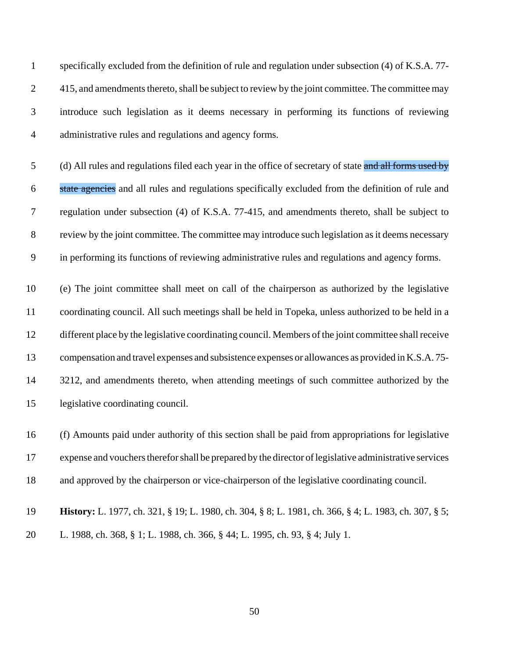specifically excluded from the definition of rule and regulation under subsection (4) of K.S.A. 77- 2 415, and amendments thereto, shall be subject to review by the joint committee. The committee may introduce such legislation as it deems necessary in performing its functions of reviewing administrative rules and regulations and agency forms.

5 (d) All rules and regulations filed each year in the office of secretary of state and all forms used by 6 state agencies and all rules and regulations specifically excluded from the definition of rule and regulation under subsection (4) of K.S.A. 77-415, and amendments thereto, shall be subject to review by the joint committee. The committee may introduce such legislation as it deems necessary in performing its functions of reviewing administrative rules and regulations and agency forms.

 (e) The joint committee shall meet on call of the chairperson as authorized by the legislative coordinating council. All such meetings shall be held in Topeka, unless authorized to be held in a different place by the legislative coordinating council. Members of the joint committee shall receive compensation and travel expenses and subsistence expenses or allowances as provided in K.S.A. 75- 14 3212, and amendments thereto, when attending meetings of such committee authorized by the legislative coordinating council.

 (f) Amounts paid under authority of this section shall be paid from appropriations for legislative expense and vouchers therefor shall be prepared by the director of legislative administrative services and approved by the chairperson or vice-chairperson of the legislative coordinating council.

 **History:** L. 1977, ch. 321, § 19; L. 1980, ch. 304, § 8; L. 1981, ch. 366, § 4; L. 1983, ch. 307, § 5; L. 1988, ch. 368, § 1; L. 1988, ch. 366, § 44; L. 1995, ch. 93, § 4; July 1.